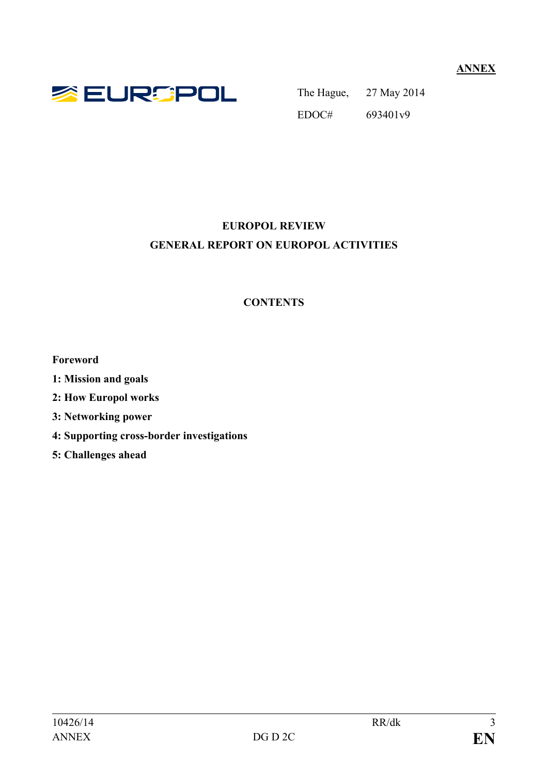**ANNEX**



The Hague, 27 May 2014 EDOC# 693401v9

# **EUROPOL REVIEW GENERAL REPORT ON EUROPOL ACTIVITIES**

# **CONTENTS**

**Foreword**

- **1: Mission and goals**
- **2: How Europol works**
- **3: Networking power**
- **4: Supporting cross-border investigations**
- **5: Challenges ahead**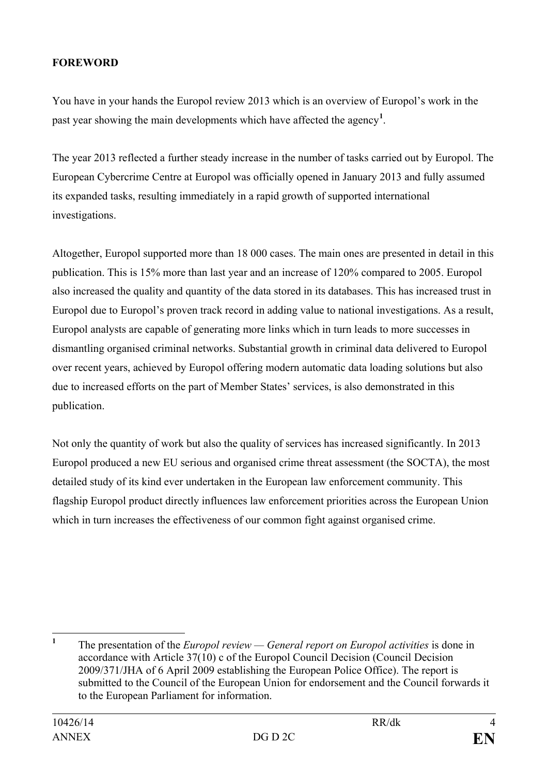### **FOREWORD**

You have in your hands the Europol review 2013 which is an overview of Europol's work in the past year showing the main developments which have affected the agency**[1](#page-1-0)** .

The year 2013 reflected a further steady increase in the number of tasks carried out by Europol. The European Cybercrime Centre at Europol was officially opened in January 2013 and fully assumed its expanded tasks, resulting immediately in a rapid growth of supported international investigations.

Altogether, Europol supported more than 18 000 cases. The main ones are presented in detail in this publication. This is 15% more than last year and an increase of 120% compared to 2005. Europol also increased the quality and quantity of the data stored in its databases. This has increased trust in Europol due to Europol's proven track record in adding value to national investigations. As a result, Europol analysts are capable of generating more links which in turn leads to more successes in dismantling organised criminal networks. Substantial growth in criminal data delivered to Europol over recent years, achieved by Europol offering modern automatic data loading solutions but also due to increased efforts on the part of Member States' services, is also demonstrated in this publication.

Not only the quantity of work but also the quality of services has increased significantly. In 2013 Europol produced a new EU serious and organised crime threat assessment (the SOCTA), the most detailed study of its kind ever undertaken in the European law enforcement community. This flagship Europol product directly influences law enforcement priorities across the European Union which in turn increases the effectiveness of our common fight against organised crime.

<span id="page-1-0"></span>**<sup>1</sup>** The presentation of the *Europol review — General report on Europol activities* is done in accordance with Article 37(10) c of the Europol Council Decision (Council Decision 2009/371/JHA of 6 April 2009 establishing the European Police Office). The report is submitted to the Council of the European Union for endorsement and the Council forwards it to the European Parliament for information.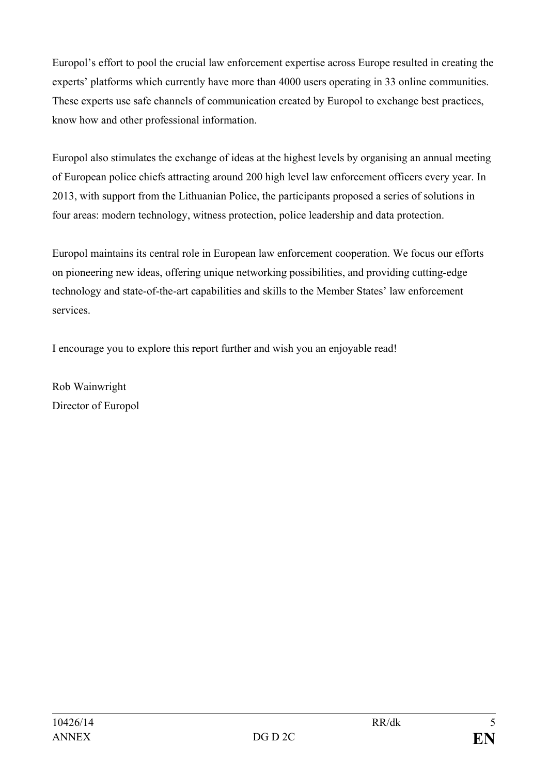Europol's effort to pool the crucial law enforcement expertise across Europe resulted in creating the experts' platforms which currently have more than 4000 users operating in 33 online communities. These experts use safe channels of communication created by Europol to exchange best practices, know how and other professional information.

Europol also stimulates the exchange of ideas at the highest levels by organising an annual meeting of European police chiefs attracting around 200 high level law enforcement officers every year. In 2013, with support from the Lithuanian Police, the participants proposed a series of solutions in four areas: modern technology, witness protection, police leadership and data protection.

Europol maintains its central role in European law enforcement cooperation. We focus our efforts on pioneering new ideas, offering unique networking possibilities, and providing cutting-edge technology and state-of-the-art capabilities and skills to the Member States' law enforcement services.

I encourage you to explore this report further and wish you an enjoyable read!

Rob Wainwright Director of Europol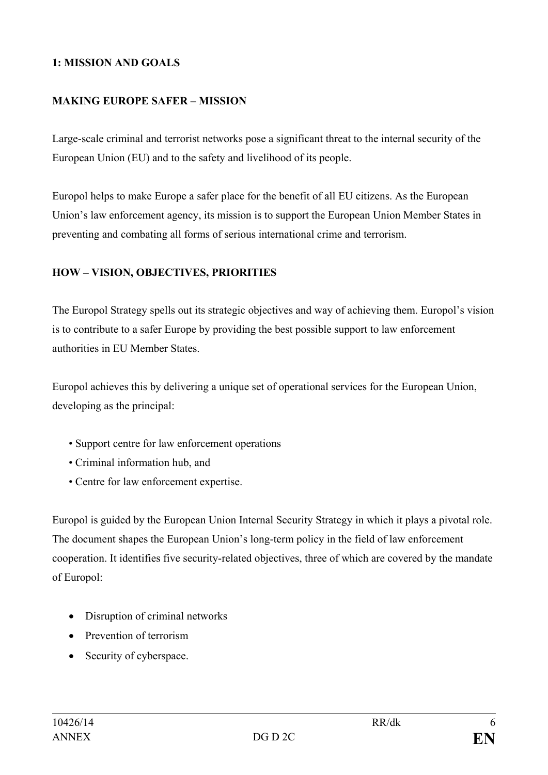### **1: MISSION AND GOALS**

#### **MAKING EUROPE SAFER – MISSION**

Large-scale criminal and terrorist networks pose a significant threat to the internal security of the European Union (EU) and to the safety and livelihood of its people.

Europol helps to make Europe a safer place for the benefit of all EU citizens. As the European Union's law enforcement agency, its mission is to support the European Union Member States in preventing and combating all forms of serious international crime and terrorism.

### **HOW – VISION, OBJECTIVES, PRIORITIES**

The Europol Strategy spells out its strategic objectives and way of achieving them. Europol's vision is to contribute to a safer Europe by providing the best possible support to law enforcement authorities in EU Member States.

Europol achieves this by delivering a unique set of operational services for the European Union, developing as the principal:

- Support centre for law enforcement operations
- Criminal information hub, and
- Centre for law enforcement expertise.

Europol is guided by the European Union Internal Security Strategy in which it plays a pivotal role. The document shapes the European Union's long-term policy in the field of law enforcement cooperation. It identifies five security-related objectives, three of which are covered by the mandate of Europol:

- Disruption of criminal networks
- Prevention of terrorism
- Security of cyberspace.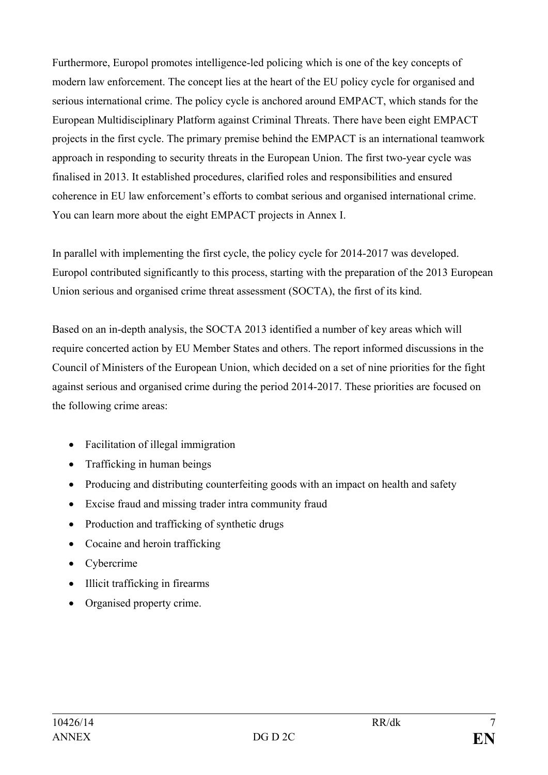Furthermore, Europol promotes intelligence-led policing which is one of the key concepts of modern law enforcement. The concept lies at the heart of the EU policy cycle for organised and serious international crime. The policy cycle is anchored around EMPACT, which stands for the European Multidisciplinary Platform against Criminal Threats. There have been eight EMPACT projects in the first cycle. The primary premise behind the EMPACT is an international teamwork approach in responding to security threats in the European Union. The first two-year cycle was finalised in 2013. It established procedures, clarified roles and responsibilities and ensured coherence in EU law enforcement's efforts to combat serious and organised international crime. You can learn more about the eight EMPACT projects in Annex I.

In parallel with implementing the first cycle, the policy cycle for 2014-2017 was developed. Europol contributed significantly to this process, starting with the preparation of the 2013 European Union serious and organised crime threat assessment (SOCTA), the first of its kind.

Based on an in-depth analysis, the SOCTA 2013 identified a number of key areas which will require concerted action by EU Member States and others. The report informed discussions in the Council of Ministers of the European Union, which decided on a set of nine priorities for the fight against serious and organised crime during the period 2014-2017. These priorities are focused on the following crime areas:

- Facilitation of illegal immigration
- Trafficking in human beings
- Producing and distributing counterfeiting goods with an impact on health and safety
- Excise fraud and missing trader intra community fraud
- Production and trafficking of synthetic drugs
- Cocaine and heroin trafficking
- Cybercrime
- Illicit trafficking in firearms
- Organised property crime.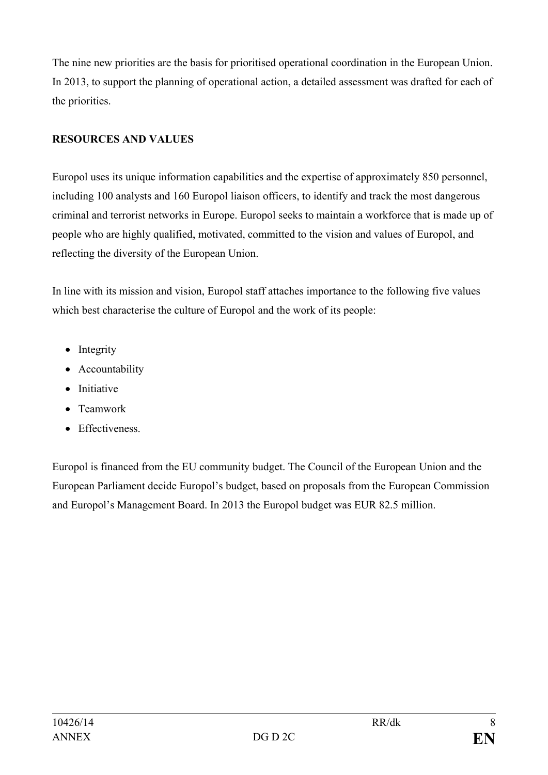The nine new priorities are the basis for prioritised operational coordination in the European Union. In 2013, to support the planning of operational action, a detailed assessment was drafted for each of the priorities.

## **RESOURCES AND VALUES**

Europol uses its unique information capabilities and the expertise of approximately 850 personnel, including 100 analysts and 160 Europol liaison officers, to identify and track the most dangerous criminal and terrorist networks in Europe. Europol seeks to maintain a workforce that is made up of people who are highly qualified, motivated, committed to the vision and values of Europol, and reflecting the diversity of the European Union.

In line with its mission and vision, Europol staff attaches importance to the following five values which best characterise the culture of Europol and the work of its people:

- Integrity
- Accountability
- Initiative
- Teamwork
- Effectiveness.

Europol is financed from the EU community budget. The Council of the European Union and the European Parliament decide Europol's budget, based on proposals from the European Commission and Europol's Management Board. In 2013 the Europol budget was EUR 82.5 million.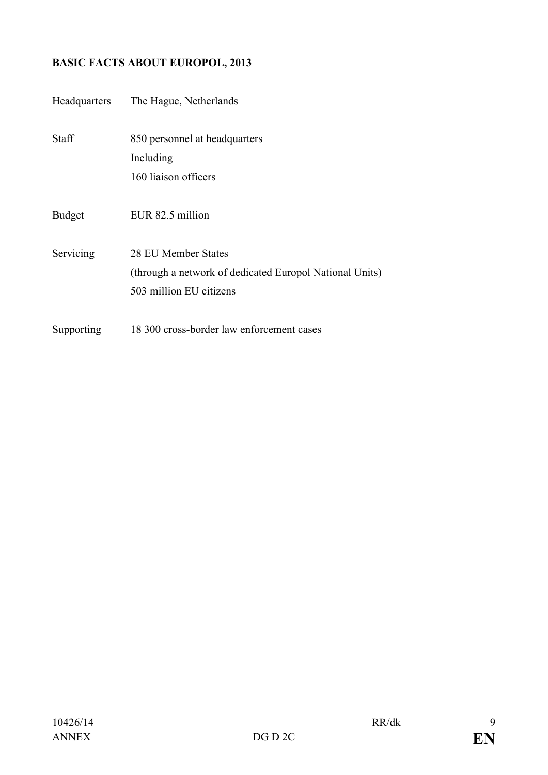# **BASIC FACTS ABOUT EUROPOL, 2013**

| Headquarters  | The Hague, Netherlands                                  |  |
|---------------|---------------------------------------------------------|--|
| Staff         | 850 personnel at headquarters                           |  |
|               | Including                                               |  |
|               | 160 liaison officers                                    |  |
| <b>Budget</b> | EUR 82.5 million                                        |  |
| Servicing     | 28 EU Member States                                     |  |
|               | (through a network of dedicated Europol National Units) |  |
|               | 503 million EU citizens                                 |  |
| Supporting    | 18 300 cross-border law enforcement cases               |  |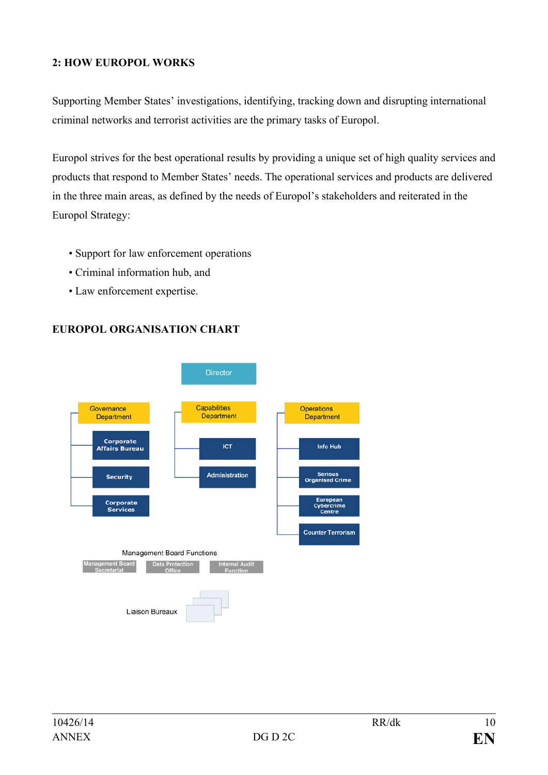### **2: HOW EUROPOL WORKS**

Supporting Member States' investigations, identifying, tracking down and disrupting international criminal networks and terrorist activities are the primary tasks of Europol.

Europol strives for the best operational results by providing a unique set of high quality services and products that respond to Member States' needs. The operational services and products are delivered in the three main areas, as defined by the needs of Europol's stakeholders and reiterated in the Europol Strategy:

- Support for law enforcement operations
- Criminal information hub, and
- Law enforcement expertise.



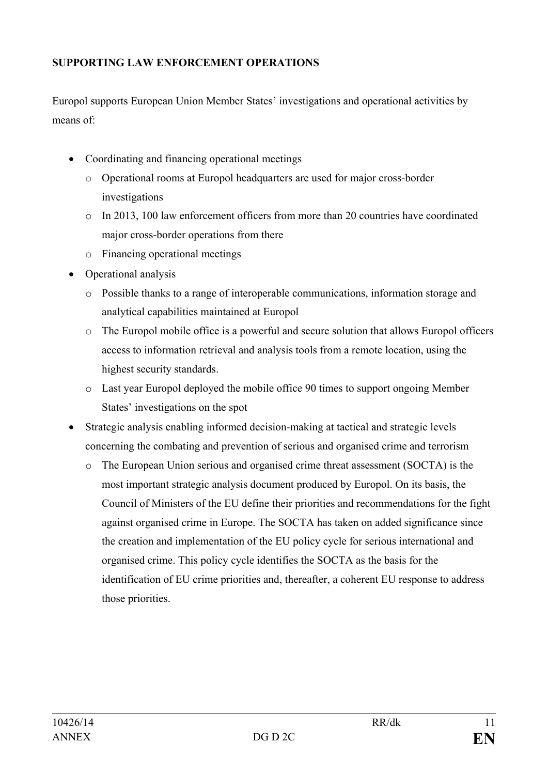## **SUPPORTING LAW ENFORCEMENT OPERATIONS**

Europol supports European Union Member States' investigations and operational activities by means of:

- Coordinating and financing operational meetings
	- o Operational rooms at Europol headquarters are used for major cross-border investigations
	- o In 2013, 100 law enforcement officers from more than 20 countries have coordinated major cross-border operations from there
	- o Financing operational meetings
- Operational analysis
	- o Possible thanks to a range of interoperable communications, information storage and analytical capabilities maintained at Europol
	- o The Europol mobile office is a powerful and secure solution that allows Europol officers access to information retrieval and analysis tools from a remote location, using the highest security standards.
	- o Last year Europol deployed the mobile office 90 times to support ongoing Member States' investigations on the spot
- Strategic analysis enabling informed decision-making at tactical and strategic levels concerning the combating and prevention of serious and organised crime and terrorism
	- o The European Union serious and organised crime threat assessment (SOCTA) is the most important strategic analysis document produced by Europol. On its basis, the Council of Ministers of the EU define their priorities and recommendations for the fight against organised crime in Europe. The SOCTA has taken on added significance since the creation and implementation of the EU policy cycle for serious international and organised crime. This policy cycle identifies the SOCTA as the basis for the identification of EU crime priorities and, thereafter, a coherent EU response to address those priorities.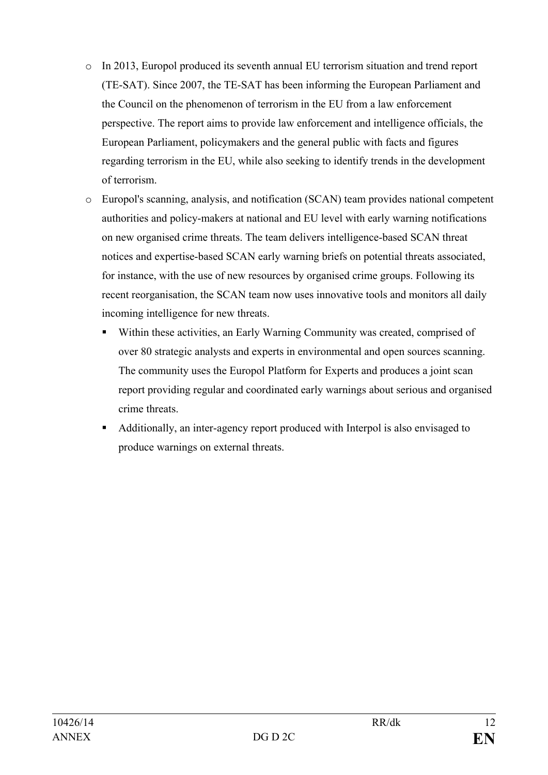- o In 2013, Europol produced its seventh annual EU terrorism situation and trend report (TE-SAT). Since 2007, the TE-SAT has been informing the European Parliament and the Council on the phenomenon of terrorism in the EU from a law enforcement perspective. The report aims to provide law enforcement and intelligence officials, the European Parliament, policymakers and the general public with facts and figures regarding terrorism in the EU, while also seeking to identify trends in the development of terrorism.
- o Europol's scanning, analysis, and notification (SCAN) team provides national competent authorities and policy-makers at national and EU level with early warning notifications on new organised crime threats. The team delivers intelligence-based SCAN threat notices and expertise-based SCAN early warning briefs on potential threats associated, for instance, with the use of new resources by organised crime groups. Following its recent reorganisation, the SCAN team now uses innovative tools and monitors all daily incoming intelligence for new threats.
	- Within these activities, an Early Warning Community was created, comprised of over 80 strategic analysts and experts in environmental and open sources scanning. The community uses the Europol Platform for Experts and produces a joint scan report providing regular and coordinated early warnings about serious and organised crime threats.
	- Additionally, an inter-agency report produced with Interpol is also envisaged to produce warnings on external threats.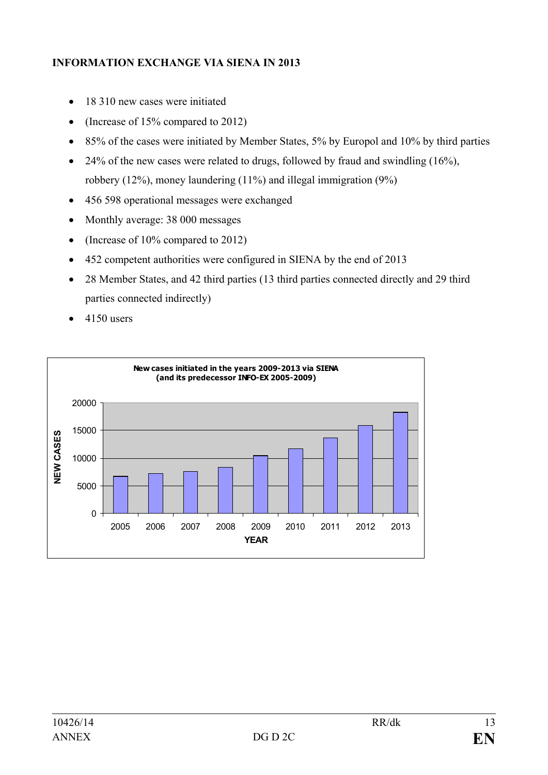## **INFORMATION EXCHANGE VIA SIENA IN 2013**

- 18 310 new cases were initiated
- (Increase of 15% compared to 2012)
- 85% of the cases were initiated by Member States, 5% by Europol and 10% by third parties
- 24% of the new cases were related to drugs, followed by fraud and swindling  $(16\%)$ . robbery (12%), money laundering (11%) and illegal immigration (9%)
- 456 598 operational messages were exchanged
- Monthly average: 38 000 messages
- (Increase of 10% compared to 2012)
- 452 competent authorities were configured in SIENA by the end of 2013
- 28 Member States, and 42 third parties (13 third parties connected directly and 29 third parties connected indirectly)
- $\bullet$  4150 users

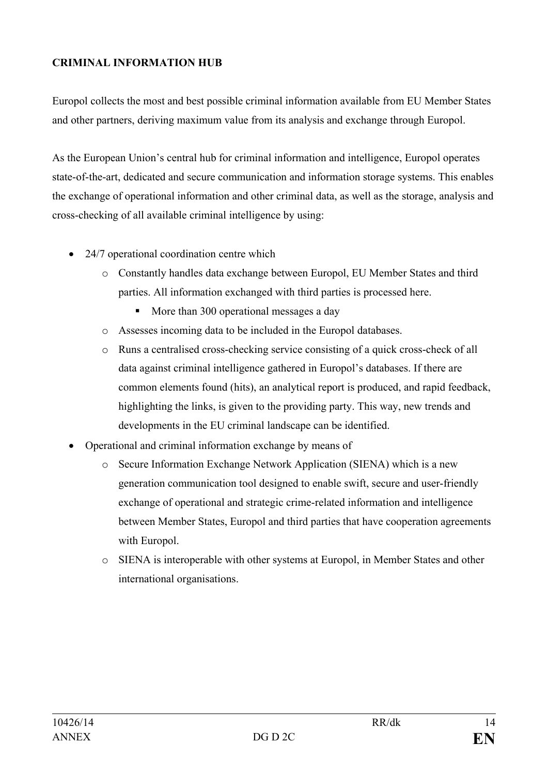## **CRIMINAL INFORMATION HUB**

Europol collects the most and best possible criminal information available from EU Member States and other partners, deriving maximum value from its analysis and exchange through Europol.

As the European Union's central hub for criminal information and intelligence, Europol operates state-of-the-art, dedicated and secure communication and information storage systems. This enables the exchange of operational information and other criminal data, as well as the storage, analysis and cross-checking of all available criminal intelligence by using:

- 24/7 operational coordination centre which
	- o Constantly handles data exchange between Europol, EU Member States and third parties. All information exchanged with third parties is processed here.
		- More than 300 operational messages a day
	- o Assesses incoming data to be included in the Europol databases.
	- o Runs a centralised cross-checking service consisting of a quick cross-check of all data against criminal intelligence gathered in Europol's databases. If there are common elements found (hits), an analytical report is produced, and rapid feedback, highlighting the links, is given to the providing party. This way, new trends and developments in the EU criminal landscape can be identified.
- Operational and criminal information exchange by means of
	- o Secure Information Exchange Network Application (SIENA) which is a new generation communication tool designed to enable swift, secure and user-friendly exchange of operational and strategic crime-related information and intelligence between Member States, Europol and third parties that have cooperation agreements with Europol.
	- o SIENA is interoperable with other systems at Europol, in Member States and other international organisations.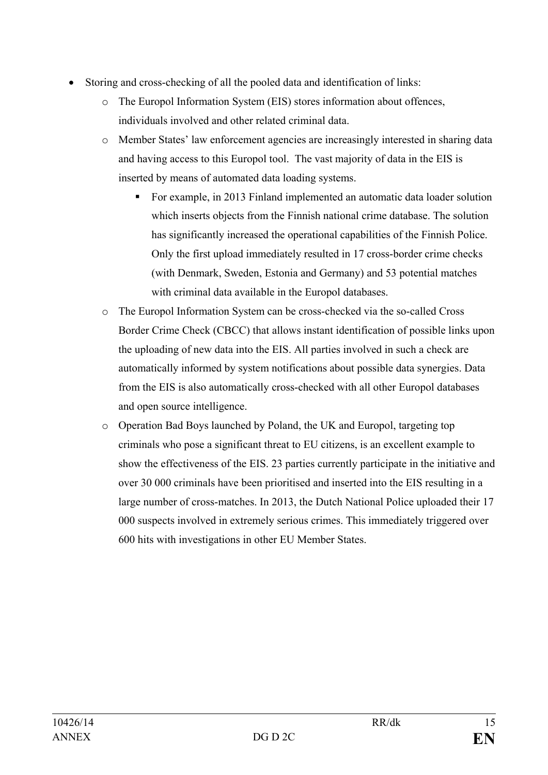- Storing and cross-checking of all the pooled data and identification of links:
	- o The Europol Information System (EIS) stores information about offences, individuals involved and other related criminal data.
	- o Member States' law enforcement agencies are increasingly interested in sharing data and having access to this Europol tool. The vast majority of data in the EIS is inserted by means of automated data loading systems.
		- For example, in 2013 Finland implemented an automatic data loader solution which inserts objects from the Finnish national crime database. The solution has significantly increased the operational capabilities of the Finnish Police. Only the first upload immediately resulted in 17 cross-border crime checks (with Denmark, Sweden, Estonia and Germany) and 53 potential matches with criminal data available in the Europol databases.
	- o The Europol Information System can be cross-checked via the so-called Cross Border Crime Check (CBCC) that allows instant identification of possible links upon the uploading of new data into the EIS. All parties involved in such a check are automatically informed by system notifications about possible data synergies. Data from the EIS is also automatically cross-checked with all other Europol databases and open source intelligence.
	- o Operation Bad Boys launched by Poland, the UK and Europol, targeting top criminals who pose a significant threat to EU citizens, is an excellent example to show the effectiveness of the EIS. 23 parties currently participate in the initiative and over 30 000 criminals have been prioritised and inserted into the EIS resulting in a large number of cross-matches. In 2013, the Dutch National Police uploaded their 17 000 suspects involved in extremely serious crimes. This immediately triggered over 600 hits with investigations in other EU Member States.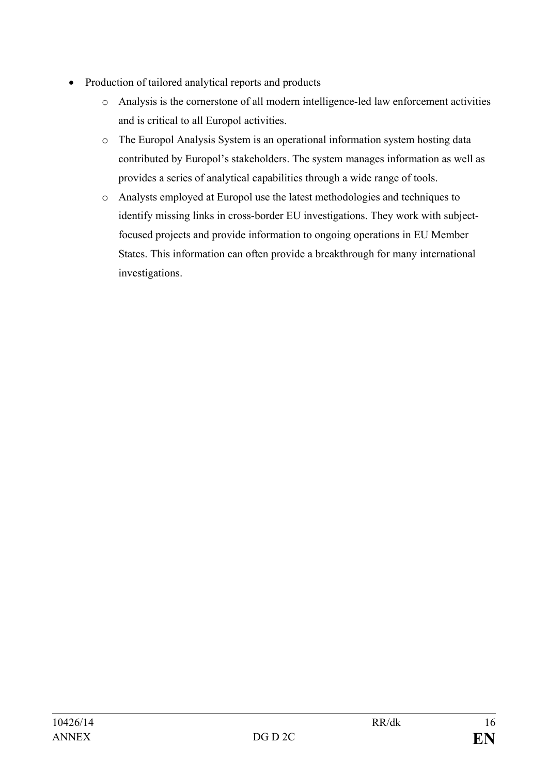- Production of tailored analytical reports and products
	- o Analysis is the cornerstone of all modern intelligence-led law enforcement activities and is critical to all Europol activities.
	- o The Europol Analysis System is an operational information system hosting data contributed by Europol's stakeholders. The system manages information as well as provides a series of analytical capabilities through a wide range of tools.
	- o Analysts employed at Europol use the latest methodologies and techniques to identify missing links in cross-border EU investigations. They work with subjectfocused projects and provide information to ongoing operations in EU Member States. This information can often provide a breakthrough for many international investigations.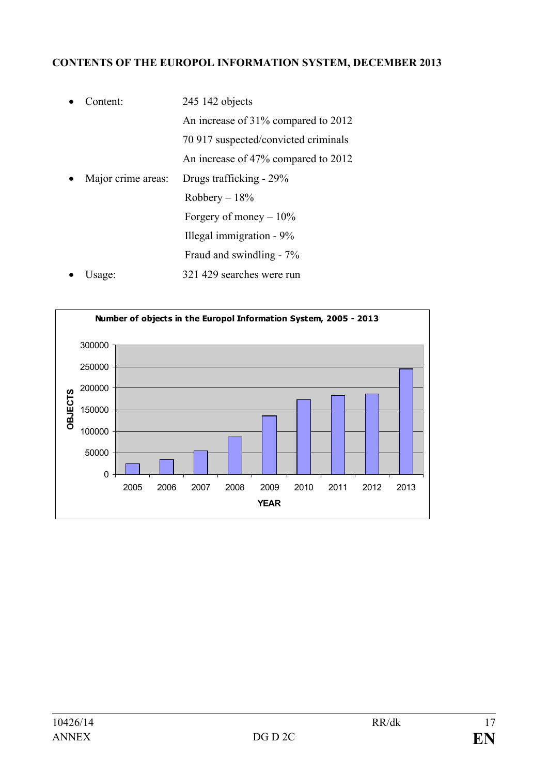## **CONTENTS OF THE EUROPOL INFORMATION SYSTEM, DECEMBER 2013**

| Content:           | 245 142 objects                      |
|--------------------|--------------------------------------|
|                    | An increase of 31% compared to 2012  |
|                    | 70 917 suspected/convicted criminals |
|                    | An increase of 47% compared to 2012  |
| Major crime areas: | Drugs trafficking - 29%              |
|                    | Robbery $-18\%$                      |
|                    | Forgery of money $-10\%$             |
|                    | Illegal immigration - 9%             |
|                    | Fraud and swindling - 7%             |
| Usage:             | 321 429 searches were run            |

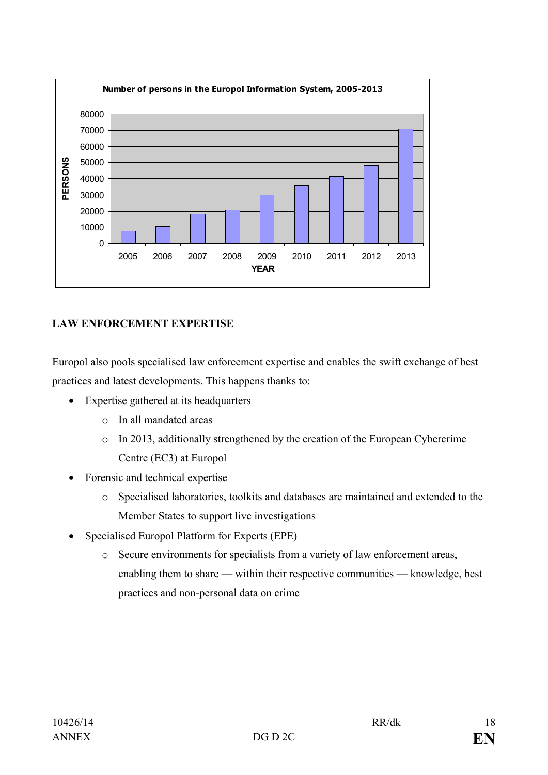

## **LAW ENFORCEMENT EXPERTISE**

Europol also pools specialised law enforcement expertise and enables the swift exchange of best practices and latest developments. This happens thanks to:

- Expertise gathered at its headquarters
	- o In all mandated areas
	- o In 2013, additionally strengthened by the creation of the European Cybercrime Centre (EC3) at Europol
- Forensic and technical expertise
	- o Specialised laboratories, toolkits and databases are maintained and extended to the Member States to support live investigations
- Specialised Europol Platform for Experts (EPE)
	- o Secure environments for specialists from a variety of law enforcement areas, enabling them to share — within their respective communities — knowledge, best practices and non-personal data on crime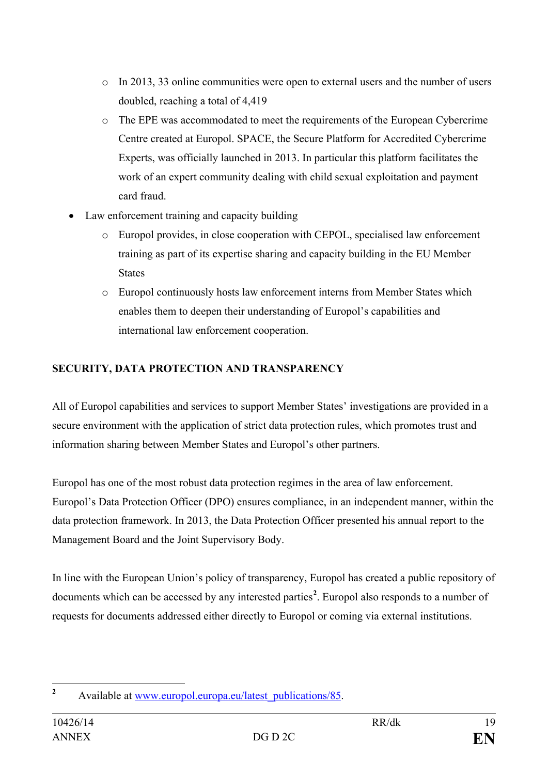- o In 2013, 33 online communities were open to external users and the number of users doubled, reaching a total of 4,419
- o The EPE was accommodated to meet the requirements of the European Cybercrime Centre created at Europol. SPACE, the Secure Platform for Accredited Cybercrime Experts, was officially launched in 2013. In particular this platform facilitates the work of an expert community dealing with child sexual exploitation and payment card fraud.
- Law enforcement training and capacity building
	- o Europol provides, in close cooperation with CEPOL, specialised law enforcement training as part of its expertise sharing and capacity building in the EU Member States
	- o Europol continuously hosts law enforcement interns from Member States which enables them to deepen their understanding of Europol's capabilities and international law enforcement cooperation.

# **SECURITY, DATA PROTECTION AND TRANSPARENCY**

All of Europol capabilities and services to support Member States' investigations are provided in a secure environment with the application of strict data protection rules, which promotes trust and information sharing between Member States and Europol's other partners.

Europol has one of the most robust data protection regimes in the area of law enforcement. Europol's Data Protection Officer (DPO) ensures compliance, in an independent manner, within the data protection framework. In 2013, the Data Protection Officer presented his annual report to the Management Board and the Joint Supervisory Body.

In line with the European Union's policy of transparency, Europol has created a public repository of documents which can be accessed by any interested parties<sup>[2](#page-16-0)</sup>. Europol also responds to a number of requests for documents addressed either directly to Europol or coming via external institutions.

<span id="page-16-0"></span>**<sup>2</sup>** Available at [www.europol.europa.eu/latest\\_publications/85.](http://www.europol.europa.eu/latest_publications/85)  $\overline{2}$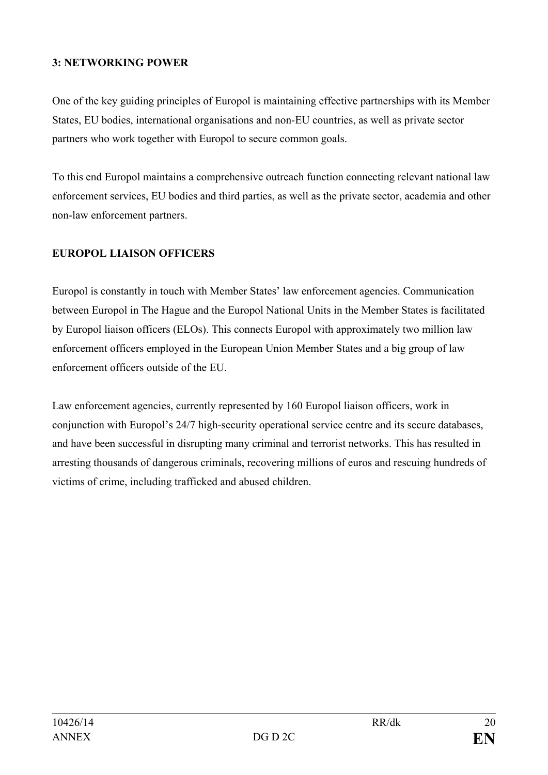### **3: NETWORKING POWER**

One of the key guiding principles of Europol is maintaining effective partnerships with its Member States, EU bodies, international organisations and non-EU countries, as well as private sector partners who work together with Europol to secure common goals.

To this end Europol maintains a comprehensive outreach function connecting relevant national law enforcement services, EU bodies and third parties, as well as the private sector, academia and other non-law enforcement partners.

### **EUROPOL LIAISON OFFICERS**

Europol is constantly in touch with Member States' law enforcement agencies. Communication between Europol in The Hague and the Europol National Units in the Member States is facilitated by Europol liaison officers (ELOs). This connects Europol with approximately two million law enforcement officers employed in the European Union Member States and a big group of law enforcement officers outside of the EU.

Law enforcement agencies, currently represented by 160 Europol liaison officers, work in conjunction with Europol's 24/7 high-security operational service centre and its secure databases, and have been successful in disrupting many criminal and terrorist networks. This has resulted in arresting thousands of dangerous criminals, recovering millions of euros and rescuing hundreds of victims of crime, including trafficked and abused children.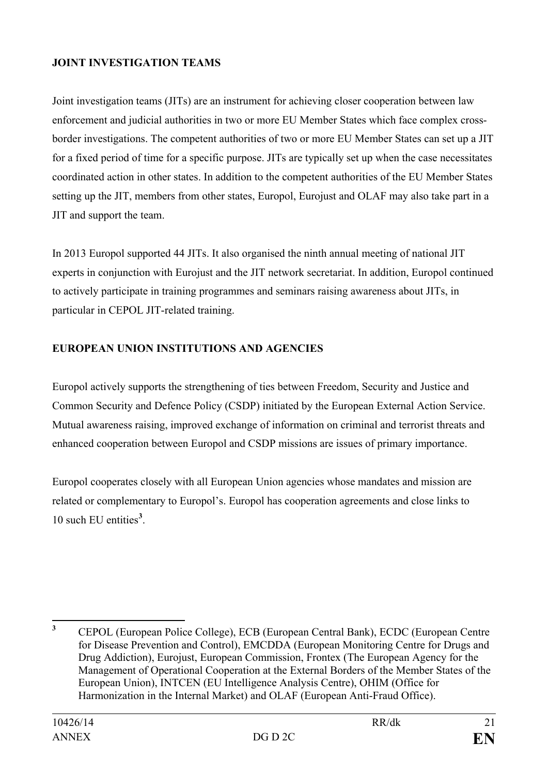## **JOINT INVESTIGATION TEAMS**

Joint investigation teams (JITs) are an instrument for achieving closer cooperation between law enforcement and judicial authorities in two or more EU Member States which face complex crossborder investigations. The competent authorities of two or more EU Member States can set up a JIT for a fixed period of time for a specific purpose. JITs are typically set up when the case necessitates coordinated action in other states. In addition to the competent authorities of the EU Member States setting up the JIT, members from other states, Europol, Eurojust and OLAF may also take part in a JIT and support the team.

In 2013 Europol supported 44 JITs. It also organised the ninth annual meeting of national JIT experts in conjunction with Eurojust and the JIT network secretariat. In addition, Europol continued to actively participate in training programmes and seminars raising awareness about JITs, in particular in CEPOL JIT-related training.

### **EUROPEAN UNION INSTITUTIONS AND AGENCIES**

Europol actively supports the strengthening of ties between Freedom, Security and Justice and Common Security and Defence Policy (CSDP) initiated by the European External Action Service. Mutual awareness raising, improved exchange of information on criminal and terrorist threats and enhanced cooperation between Europol and CSDP missions are issues of primary importance.

Europol cooperates closely with all European Union agencies whose mandates and mission are related or complementary to Europol's. Europol has cooperation agreements and close links to 10 such EU entities**[3](#page-18-0)** .

<span id="page-18-0"></span>**<sup>3</sup>** CEPOL (European Police College), ECB (European Central Bank), ECDC (European Centre for Disease Prevention and Control), EMCDDA (European Monitoring Centre for Drugs and Drug Addiction), Eurojust, European Commission, Frontex (The European Agency for the Management of Operational Cooperation at the External Borders of the Member States of the European Union), INTCEN (EU Intelligence Analysis Centre), OHIM (Office for Harmonization in the Internal Market) and OLAF (European Anti-Fraud Office).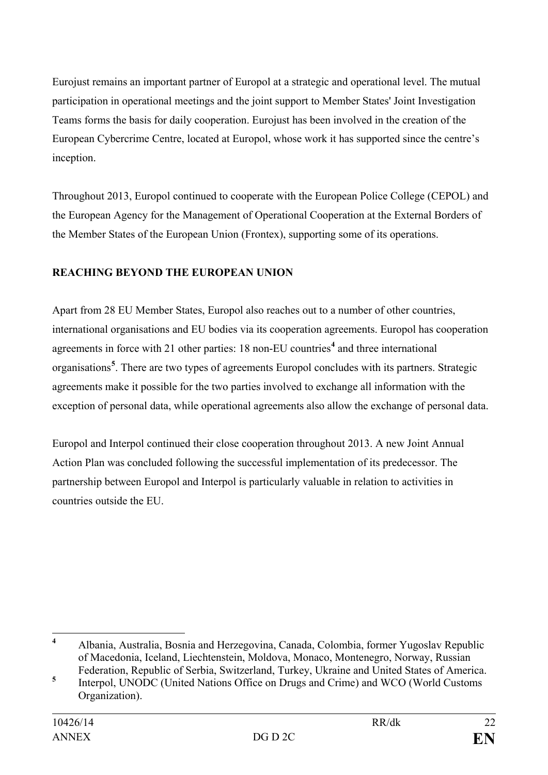Eurojust remains an important partner of Europol at a strategic and operational level. The mutual participation in operational meetings and the joint support to Member States' Joint Investigation Teams forms the basis for daily cooperation. Eurojust has been involved in the creation of the European Cybercrime Centre, located at Europol, whose work it has supported since the centre's inception.

Throughout 2013, Europol continued to cooperate with the European Police College (CEPOL) and the European Agency for the Management of Operational Cooperation at the External Borders of the Member States of the European Union (Frontex), supporting some of its operations.

# **REACHING BEYOND THE EUROPEAN UNION**

Apart from 28 EU Member States, Europol also reaches out to a number of other countries, international organisations and EU bodies via its cooperation agreements. Europol has cooperation agreements in force with 21 other parties: 18 non-EU countries**[4](#page-19-0)** and three international organisations**[5](#page-19-1)** . There are two types of agreements Europol concludes with its partners. Strategic agreements make it possible for the two parties involved to exchange all information with the exception of personal data, while operational agreements also allow the exchange of personal data.

Europol and Interpol continued their close cooperation throughout 2013. A new Joint Annual Action Plan was concluded following the successful implementation of its predecessor. The partnership between Europol and Interpol is particularly valuable in relation to activities in countries outside the EU.

<span id="page-19-0"></span>**<sup>4</sup>** Albania, Australia, Bosnia and Herzegovina, Canada, Colombia, former Yugoslav Republic of Macedonia, Iceland, Liechtenstein, Moldova, Monaco, Montenegro, Norway, Russian Federation, Republic of Serbia, Switzerland, Turkey, Ukraine and United States of America.

<span id="page-19-1"></span>**<sup>5</sup>** Interpol, UNODC (United Nations Office on Drugs and Crime) and WCO (World Customs Organization).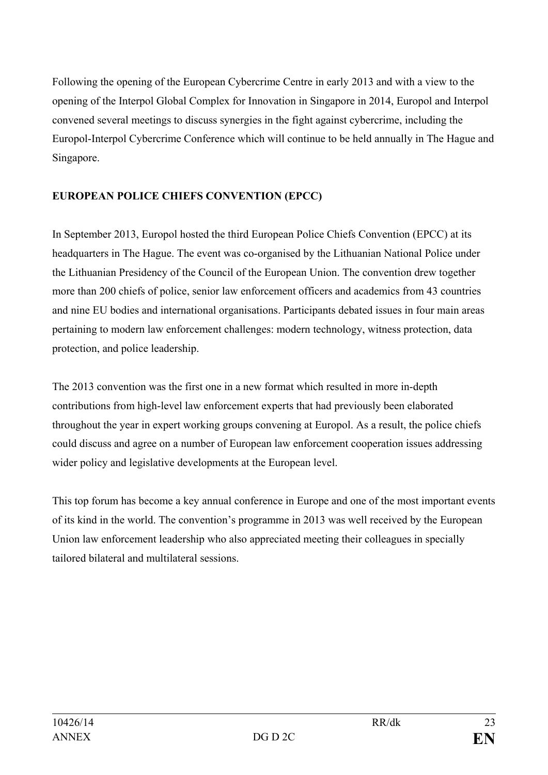Following the opening of the European Cybercrime Centre in early 2013 and with a view to the opening of the Interpol Global Complex for Innovation in Singapore in 2014, Europol and Interpol convened several meetings to discuss synergies in the fight against cybercrime, including the Europol-Interpol Cybercrime Conference which will continue to be held annually in The Hague and Singapore.

## **EUROPEAN POLICE CHIEFS CONVENTION (EPCC)**

In September 2013, Europol hosted the third European Police Chiefs Convention (EPCC) at its headquarters in The Hague. The event was co-organised by the Lithuanian National Police under the Lithuanian Presidency of the Council of the European Union. The convention drew together more than 200 chiefs of police, senior law enforcement officers and academics from 43 countries and nine EU bodies and international organisations. Participants debated issues in four main areas pertaining to modern law enforcement challenges: modern technology, witness protection, data protection, and police leadership.

The 2013 convention was the first one in a new format which resulted in more in-depth contributions from high-level law enforcement experts that had previously been elaborated throughout the year in expert working groups convening at Europol. As a result, the police chiefs could discuss and agree on a number of European law enforcement cooperation issues addressing wider policy and legislative developments at the European level.

This top forum has become a key annual conference in Europe and one of the most important events of its kind in the world. The convention's programme in 2013 was well received by the European Union law enforcement leadership who also appreciated meeting their colleagues in specially tailored bilateral and multilateral sessions.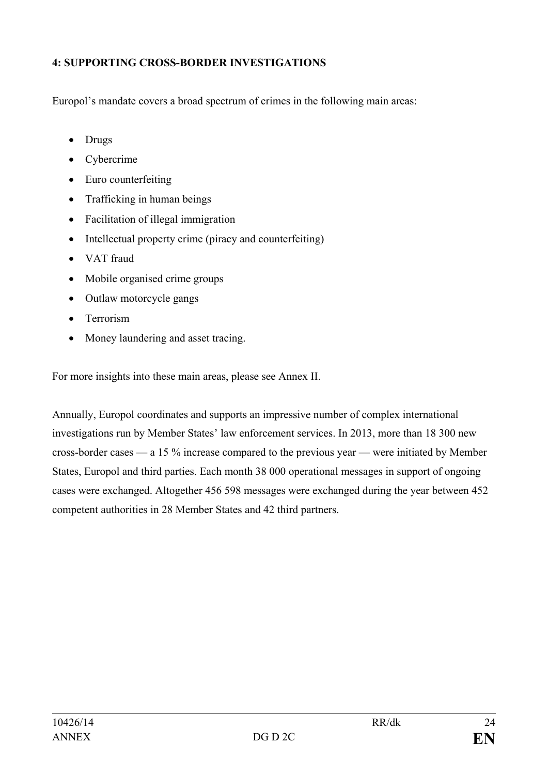## **4: SUPPORTING CROSS-BORDER INVESTIGATIONS**

Europol's mandate covers a broad spectrum of crimes in the following main areas:

- Drugs
- Cybercrime
- Euro counterfeiting
- Trafficking in human beings
- Facilitation of illegal immigration
- Intellectual property crime (piracy and counterfeiting)
- VAT fraud
- Mobile organised crime groups
- Outlaw motorcycle gangs
- Terrorism
- Money laundering and asset tracing.

For more insights into these main areas, please see Annex II.

Annually, Europol coordinates and supports an impressive number of complex international investigations run by Member States' law enforcement services. In 2013, more than 18 300 new cross-border cases — a 15 % increase compared to the previous year — were initiated by Member States, Europol and third parties. Each month 38 000 operational messages in support of ongoing cases were exchanged. Altogether 456 598 messages were exchanged during the year between 452 competent authorities in 28 Member States and 42 third partners.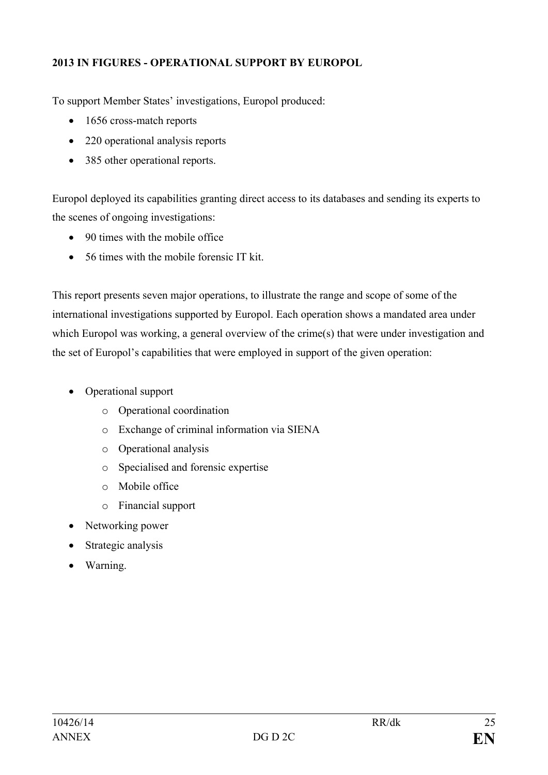## **2013 IN FIGURES - OPERATIONAL SUPPORT BY EUROPOL**

To support Member States' investigations, Europol produced:

- 1656 cross-match reports
- 220 operational analysis reports
- 385 other operational reports.

Europol deployed its capabilities granting direct access to its databases and sending its experts to the scenes of ongoing investigations:

- 90 times with the mobile office
- 56 times with the mobile forensic IT kit.

This report presents seven major operations, to illustrate the range and scope of some of the international investigations supported by Europol. Each operation shows a mandated area under which Europol was working, a general overview of the crime(s) that were under investigation and the set of Europol's capabilities that were employed in support of the given operation:

- Operational support
	- o Operational coordination
	- o Exchange of criminal information via SIENA
	- o Operational analysis
	- o Specialised and forensic expertise
	- o Mobile office
	- o Financial support
- Networking power
- Strategic analysis
- Warning.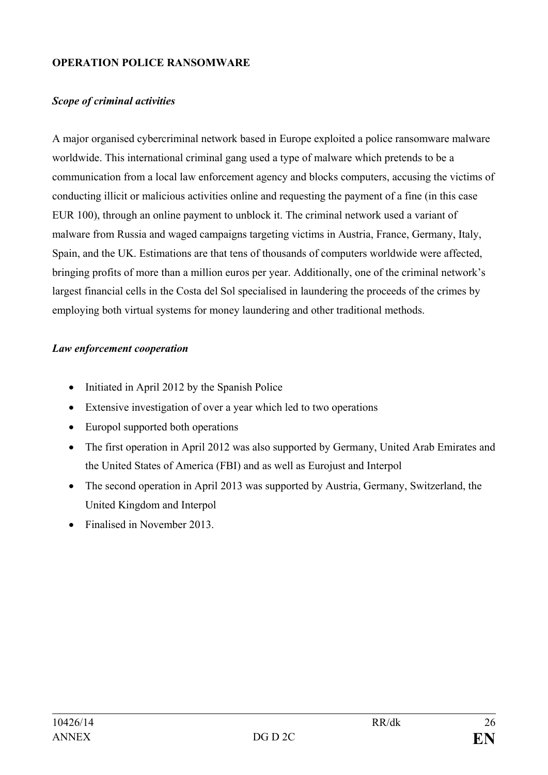### **OPERATION POLICE RANSOMWARE**

#### *Scope of criminal activities*

A major organised cybercriminal network based in Europe exploited a police ransomware malware worldwide. This international criminal gang used a type of malware which pretends to be a communication from a local law enforcement agency and blocks computers, accusing the victims of conducting illicit or malicious activities online and requesting the payment of a fine (in this case EUR 100), through an online payment to unblock it. The criminal network used a variant of malware from Russia and waged campaigns targeting victims in Austria, France, Germany, Italy, Spain, and the UK. Estimations are that tens of thousands of computers worldwide were affected, bringing profits of more than a million euros per year. Additionally, one of the criminal network's largest financial cells in the Costa del Sol specialised in laundering the proceeds of the crimes by employing both virtual systems for money laundering and other traditional methods.

#### *Law enforcement cooperation*

- Initiated in April 2012 by the Spanish Police
- Extensive investigation of over a year which led to two operations
- Europol supported both operations
- The first operation in April 2012 was also supported by Germany, United Arab Emirates and the United States of America (FBI) and as well as Eurojust and Interpol
- The second operation in April 2013 was supported by Austria, Germany, Switzerland, the United Kingdom and Interpol
- Finalised in November 2013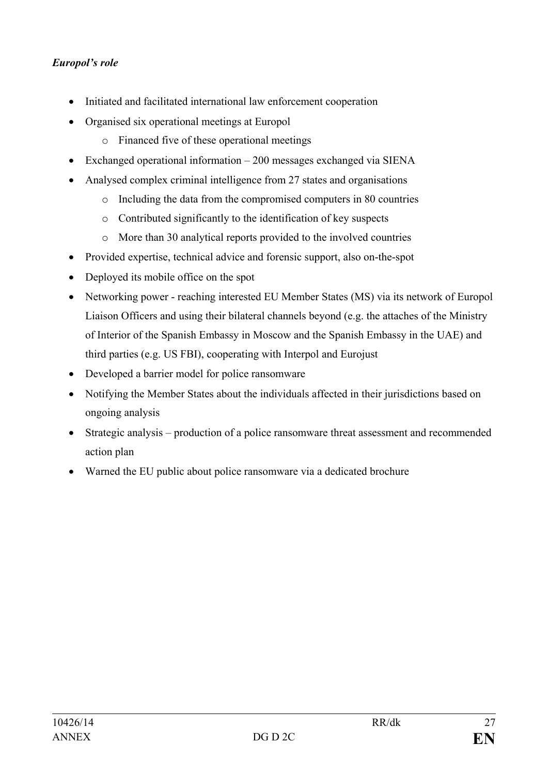## *Europol's role*

- Initiated and facilitated international law enforcement cooperation
- Organised six operational meetings at Europol
	- o Financed five of these operational meetings
- Exchanged operational information 200 messages exchanged via SIENA
- Analysed complex criminal intelligence from 27 states and organisations
	- o Including the data from the compromised computers in 80 countries
	- o Contributed significantly to the identification of key suspects
	- o More than 30 analytical reports provided to the involved countries
- Provided expertise, technical advice and forensic support, also on-the-spot
- Deployed its mobile office on the spot
- Networking power reaching interested EU Member States (MS) via its network of Europol Liaison Officers and using their bilateral channels beyond (e.g. the attaches of the Ministry of Interior of the Spanish Embassy in Moscow and the Spanish Embassy in the UAE) and third parties (e.g. US FBI), cooperating with Interpol and Eurojust
- Developed a barrier model for police ransomware
- Notifying the Member States about the individuals affected in their jurisdictions based on ongoing analysis
- Strategic analysis production of a police ransomware threat assessment and recommended action plan
- Warned the EU public about police ransomware via a dedicated brochure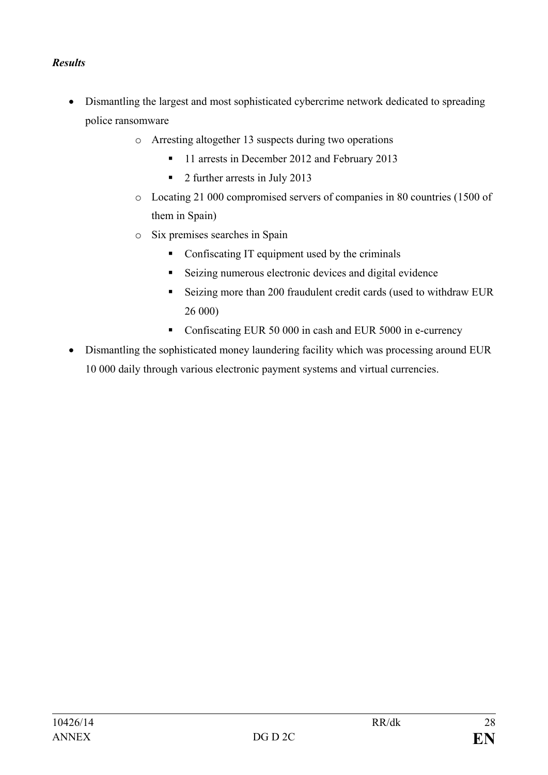## *Results*

- Dismantling the largest and most sophisticated cybercrime network dedicated to spreading police ransomware
	- o Arresting altogether 13 suspects during two operations
		- <sup>1</sup> 11 arrests in December 2012 and February 2013
		- 2 further arrests in July 2013
	- o Locating 21 000 compromised servers of companies in 80 countries (1500 of them in Spain)
	- o Six premises searches in Spain
		- Confiscating IT equipment used by the criminals
		- Seizing numerous electronic devices and digital evidence
		- Seizing more than 200 fraudulent credit cards (used to withdraw EUR 26 000)
		- Confiscating EUR 50 000 in cash and EUR 5000 in e-currency
- Dismantling the sophisticated money laundering facility which was processing around EUR 10 000 daily through various electronic payment systems and virtual currencies.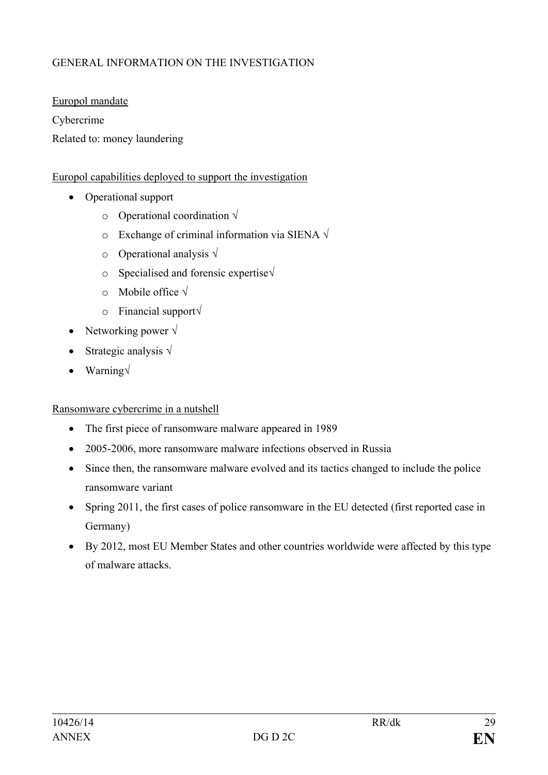# GENERAL INFORMATION ON THE INVESTIGATION

Europol mandate

Cybercrime

Related to: money laundering

### Europol capabilities deployed to support the investigation

- Operational support
	- o Operational coordination **√**
	- o Exchange of criminal information via SIENA **√**
	- o Operational analysis **√**
	- o Specialised and forensic expertise**√**
	- o Mobile office **√**
	- o Financial support**√**
- Networking power **√**
- Strategic analysis **√**
- Warning**√**

#### Ransomware cybercrime in a nutshell

- The first piece of ransomware malware appeared in 1989
- 2005-2006, more ransomware malware infections observed in Russia
- Since then, the ransomware malware evolved and its tactics changed to include the police ransomware variant
- Spring 2011, the first cases of police ransomware in the EU detected (first reported case in Germany)
- By 2012, most EU Member States and other countries worldwide were affected by this type of malware attacks.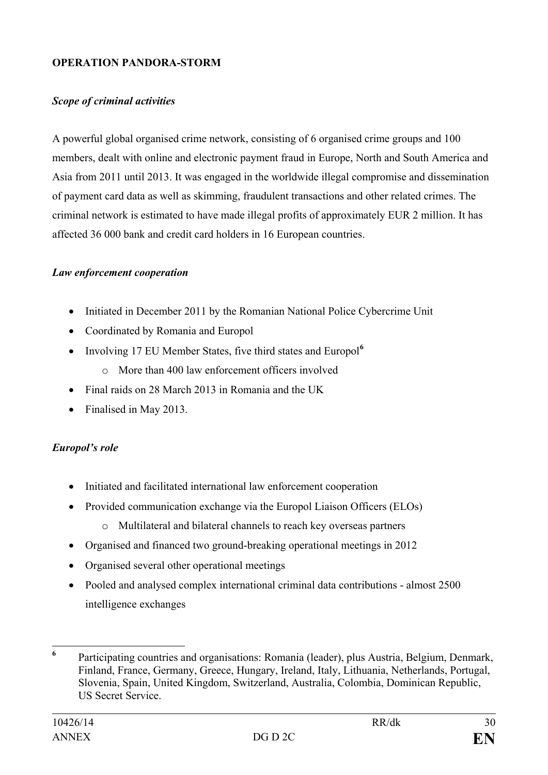### **OPERATION PANDORA-STORM**

### *Scope of criminal activities*

A powerful global organised crime network, consisting of 6 organised crime groups and 100 members, dealt with online and electronic payment fraud in Europe, North and South America and Asia from 2011 until 2013. It was engaged in the worldwide illegal compromise and dissemination of payment card data as well as skimming, fraudulent transactions and other related crimes. The criminal network is estimated to have made illegal profits of approximately EUR 2 million. It has affected 36 000 bank and credit card holders in 16 European countries.

### *Law enforcement cooperation*

- Initiated in December 2011 by the Romanian National Police Cybercrime Unit
- Coordinated by Romania and Europol
- Involving 17 EU Member States, five third states and Europol**[6](#page-27-0)**
	- $\circ$  More than 400 law enforcement officers involved
- Final raids on 28 March 2013 in Romania and the UK
- Finalised in May 2013.

## *Europol's role*

- Initiated and facilitated international law enforcement cooperation
- Provided communication exchange via the Europol Liaison Officers (ELOs)
	- o Multilateral and bilateral channels to reach key overseas partners
- Organised and financed two ground-breaking operational meetings in 2012
- Organised several other operational meetings
- Pooled and analysed complex international criminal data contributions almost 2500 intelligence exchanges

<span id="page-27-0"></span>**<sup>6</sup>** Participating countries and organisations: Romania (leader), plus Austria, Belgium, Denmark, Finland, France, Germany, Greece, Hungary, Ireland, Italy, Lithuania, Netherlands, Portugal, Slovenia, Spain, United Kingdom, Switzerland, Australia, Colombia, Dominican Republic, US Secret Service.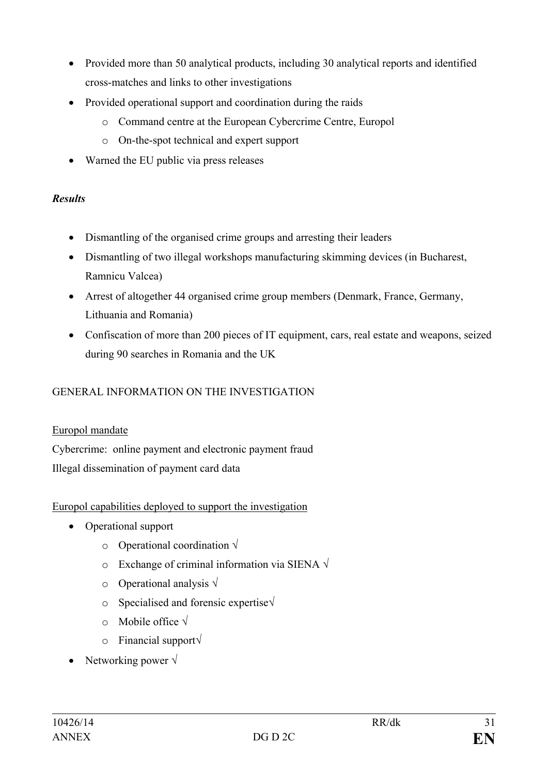- Provided more than 50 analytical products, including 30 analytical reports and identified cross-matches and links to other investigations
- Provided operational support and coordination during the raids
	- o Command centre at the European Cybercrime Centre, Europol
	- o On-the-spot technical and expert support
- Warned the EU public via press releases

## *Results*

- Dismantling of the organised crime groups and arresting their leaders
- Dismantling of two illegal workshops manufacturing skimming devices (in Bucharest, Ramnicu Valcea)
- Arrest of altogether 44 organised crime group members (Denmark, France, Germany, Lithuania and Romania)
- Confiscation of more than 200 pieces of IT equipment, cars, real estate and weapons, seized during 90 searches in Romania and the UK

# GENERAL INFORMATION ON THE INVESTIGATION

## Europol mandate

Cybercrime: online payment and electronic payment fraud Illegal dissemination of payment card data

## Europol capabilities deployed to support the investigation

- Operational support
	- o Operational coordination **√**
	- o Exchange of criminal information via SIENA **√**
	- o Operational analysis **√**
	- o Specialised and forensic expertise**√**
	- o Mobile office **√**
	- o Financial support**√**
- Networking power **√**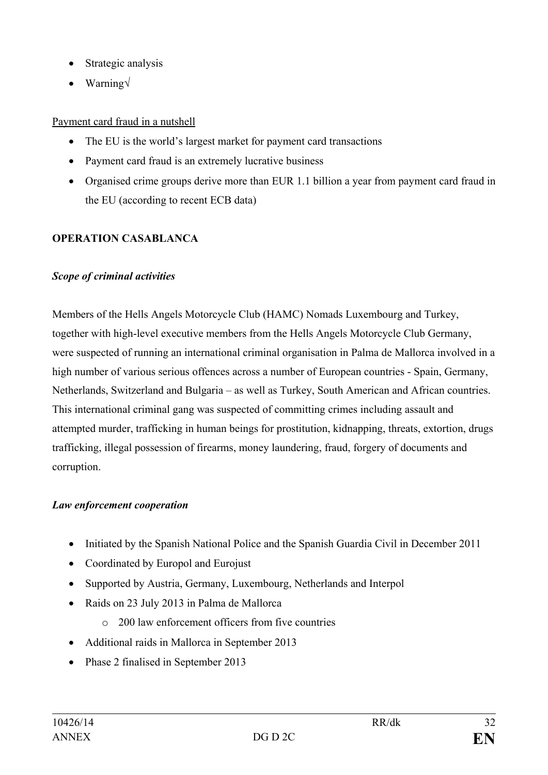- Strategic analysis
- Warning**√**

# Payment card fraud in a nutshell

- The EU is the world's largest market for payment card transactions
- Payment card fraud is an extremely lucrative business
- Organised crime groups derive more than EUR 1.1 billion a year from payment card fraud in the EU (according to recent ECB data)

# **OPERATION CASABLANCA**

## *Scope of criminal activities*

Members of the Hells Angels Motorcycle Club (HAMC) Nomads Luxembourg and Turkey, together with high-level executive members from the Hells Angels Motorcycle Club Germany, were suspected of running an international criminal organisation in Palma de Mallorca involved in a high number of various serious offences across a number of European countries - Spain, Germany, Netherlands, Switzerland and Bulgaria – as well as Turkey, South American and African countries. This international criminal gang was suspected of committing crimes including assault and attempted murder, trafficking in human beings for prostitution, kidnapping, threats, extortion, drugs trafficking, illegal possession of firearms, money laundering, fraud, forgery of documents and corruption.

## *Law enforcement cooperation*

- Initiated by the Spanish National Police and the Spanish Guardia Civil in December 2011
- Coordinated by Europol and Eurojust
- Supported by Austria, Germany, Luxembourg, Netherlands and Interpol
- Raids on 23 July 2013 in Palma de Mallorca
	- o 200 law enforcement officers from five countries
- Additional raids in Mallorca in September 2013
- Phase 2 finalised in September 2013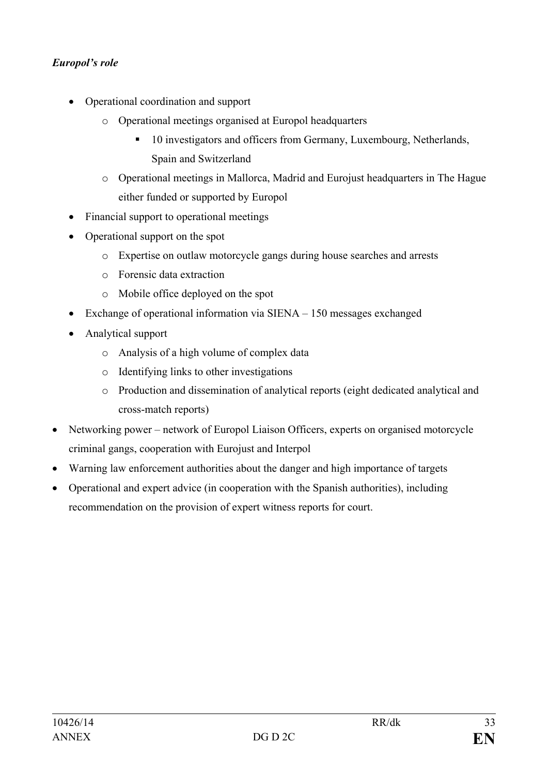## *Europol's role*

- Operational coordination and support
	- o Operational meetings organised at Europol headquarters
		- <sup>10</sup> investigators and officers from Germany, Luxembourg, Netherlands, Spain and Switzerland
	- o Operational meetings in Mallorca, Madrid and Eurojust headquarters in The Hague either funded or supported by Europol
- Financial support to operational meetings
- Operational support on the spot
	- o Expertise on outlaw motorcycle gangs during house searches and arrests
	- o Forensic data extraction
	- o Mobile office deployed on the spot
- Exchange of operational information via SIENA 150 messages exchanged
- Analytical support
	- o Analysis of a high volume of complex data
	- o Identifying links to other investigations
	- o Production and dissemination of analytical reports (eight dedicated analytical and cross-match reports)
- Networking power network of Europol Liaison Officers, experts on organised motorcycle criminal gangs, cooperation with Eurojust and Interpol
- Warning law enforcement authorities about the danger and high importance of targets
- Operational and expert advice (in cooperation with the Spanish authorities), including recommendation on the provision of expert witness reports for court.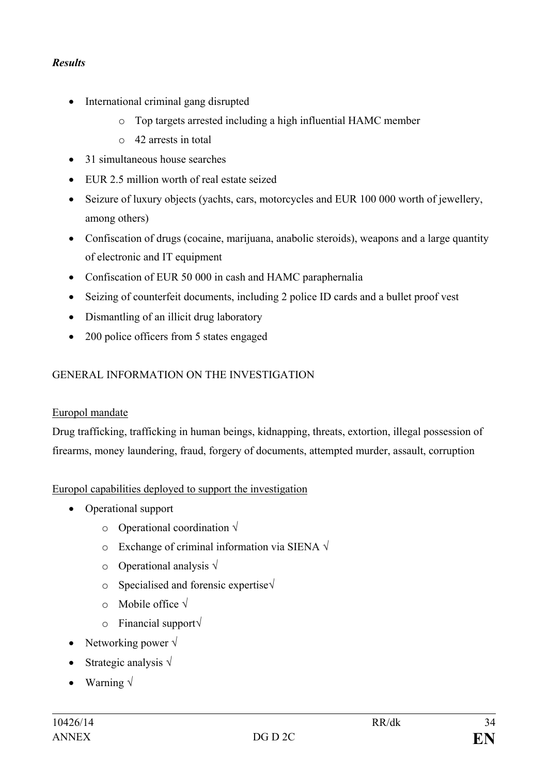## *Results*

- International criminal gang disrupted
	- o Top targets arrested including a high influential HAMC member
	- o 42 arrests in total
- 31 simultaneous house searches
- EUR 2.5 million worth of real estate seized
- Seizure of luxury objects (yachts, cars, motorcycles and EUR 100 000 worth of jewellery, among others)
- Confiscation of drugs (cocaine, marijuana, anabolic steroids), weapons and a large quantity of electronic and IT equipment
- Confiscation of EUR 50 000 in cash and HAMC paraphernalia
- Seizing of counterfeit documents, including 2 police ID cards and a bullet proof vest
- Dismantling of an illicit drug laboratory
- 200 police officers from 5 states engaged

### GENERAL INFORMATION ON THE INVESTIGATION

#### Europol mandate

Drug trafficking, trafficking in human beings, kidnapping, threats, extortion, illegal possession of firearms, money laundering, fraud, forgery of documents, attempted murder, assault, corruption

### Europol capabilities deployed to support the investigation

- Operational support
	- o Operational coordination **√**
	- o Exchange of criminal information via SIENA **√**
	- o Operational analysis **√**
	- o Specialised and forensic expertise**√**
	- o Mobile office **√**
	- o Financial support**√**
- Networking power **√**
- Strategic analysis **√**
- Warning **√**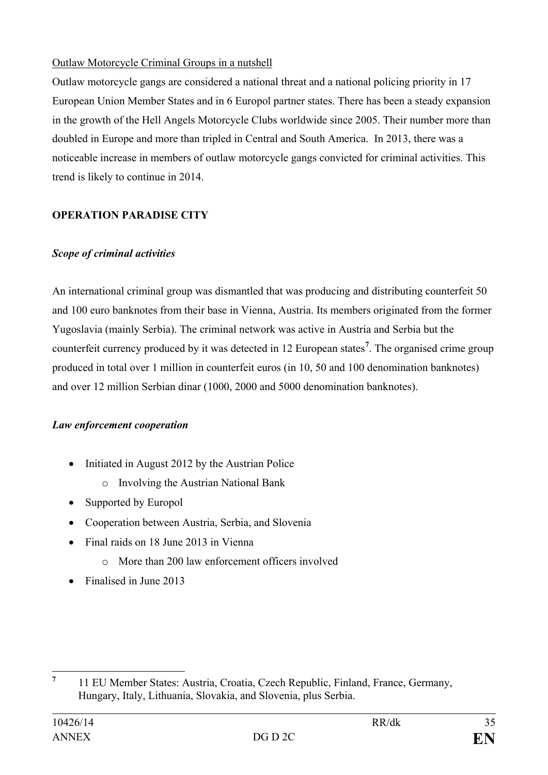## Outlaw Motorcycle Criminal Groups in a nutshell

Outlaw motorcycle gangs are considered a national threat and a national policing priority in 17 European Union Member States and in 6 Europol partner states. There has been a steady expansion in the growth of the Hell Angels Motorcycle Clubs worldwide since 2005. Their number more than doubled in Europe and more than tripled in Central and South America. In 2013, there was a noticeable increase in members of outlaw motorcycle gangs convicted for criminal activities. This trend is likely to continue in 2014.

# **OPERATION PARADISE CITY**

### *Scope of criminal activities*

An international criminal group was dismantled that was producing and distributing counterfeit 50 and 100 euro banknotes from their base in Vienna, Austria. Its members originated from the former Yugoslavia (mainly Serbia). The criminal network was active in Austria and Serbia but the counterfeit currency produced by it was detected in 12 European states**[7](#page-32-0)** . The organised crime group produced in total over 1 million in counterfeit euros (in 10, 50 and 100 denomination banknotes) and over 12 million Serbian dinar (1000, 2000 and 5000 denomination banknotes).

### *Law enforcement cooperation*

- Initiated in August 2012 by the Austrian Police
	- o Involving the Austrian National Bank
- Supported by Europol
- Cooperation between Austria, Serbia, and Slovenia
- Final raids on 18 June 2013 in Vienna
	- o More than 200 law enforcement officers involved
- Finalised in June 2013

<span id="page-32-0"></span>**<sup>7</sup>** 11 EU Member States: Austria, Croatia, Czech Republic, Finland, France, Germany, Hungary, Italy, Lithuania, Slovakia, and Slovenia, plus Serbia.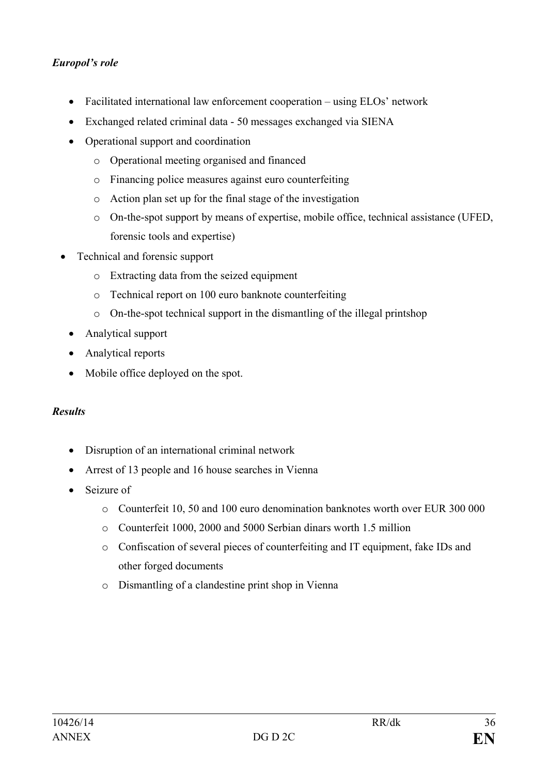## *Europol's role*

- Facilitated international law enforcement cooperation using ELOs' network
- Exchanged related criminal data 50 messages exchanged via SIENA
- Operational support and coordination
	- o Operational meeting organised and financed
	- o Financing police measures against euro counterfeiting
	- o Action plan set up for the final stage of the investigation
	- o On-the-spot support by means of expertise, mobile office, technical assistance (UFED, forensic tools and expertise)
- Technical and forensic support
	- o Extracting data from the seized equipment
	- o Technical report on 100 euro banknote counterfeiting
	- o On-the-spot technical support in the dismantling of the illegal printshop
	- Analytical support
	- Analytical reports
	- Mobile office deployed on the spot.

### *Results*

- Disruption of an international criminal network
- Arrest of 13 people and 16 house searches in Vienna
- Seizure of
	- o Counterfeit 10, 50 and 100 euro denomination banknotes worth over EUR 300 000
	- o Counterfeit 1000, 2000 and 5000 Serbian dinars worth 1.5 million
	- o Confiscation of several pieces of counterfeiting and IT equipment, fake IDs and other forged documents
	- o Dismantling of a clandestine print shop in Vienna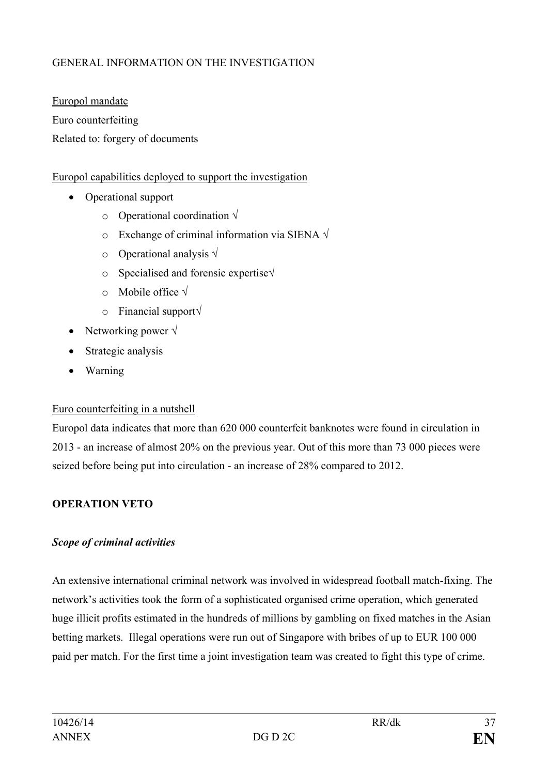# GENERAL INFORMATION ON THE INVESTIGATION

Europol mandate Euro counterfeiting Related to: forgery of documents

### Europol capabilities deployed to support the investigation

- Operational support
	- o Operational coordination **√**
	- o Exchange of criminal information via SIENA **√**
	- o Operational analysis **√**
	- o Specialised and forensic expertise**√**
	- o Mobile office **√**
	- o Financial support**√**
- Networking power **√**
- Strategic analysis
- Warning

### Euro counterfeiting in a nutshell

Europol data indicates that more than 620 000 counterfeit banknotes were found in circulation in 2013 - an increase of almost 20% on the previous year. Out of this more than 73 000 pieces were seized before being put into circulation - an increase of 28% compared to 2012.

## **OPERATION VETO**

### *Scope of criminal activities*

An extensive international criminal network was involved in widespread football match-fixing. The network's activities took the form of a sophisticated organised crime operation, which generated huge illicit profits estimated in the hundreds of millions by gambling on fixed matches in the Asian betting markets. Illegal operations were run out of Singapore with bribes of up to EUR 100 000 paid per match. For the first time a joint investigation team was created to fight this type of crime.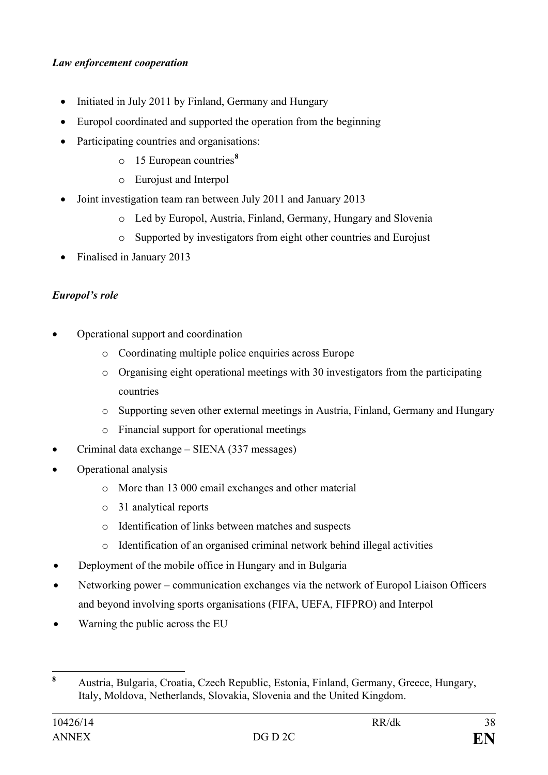## *Law enforcement cooperation*

- Initiated in July 2011 by Finland, Germany and Hungary
- Europol coordinated and supported the operation from the beginning
- Participating countries and organisations:
	- o 15 European countries**[8](#page-35-0)**
	- o Eurojust and Interpol
- Joint investigation team ran between July 2011 and January 2013
	- o Led by Europol, Austria, Finland, Germany, Hungary and Slovenia
	- o Supported by investigators from eight other countries and Eurojust
- Finalised in January 2013

# *Europol's role*

- Operational support and coordination
	- o Coordinating multiple police enquiries across Europe
	- o Organising eight operational meetings with 30 investigators from the participating countries
	- o Supporting seven other external meetings in Austria, Finland, Germany and Hungary
	- o Financial support for operational meetings
- Criminal data exchange SIENA (337 messages)
- Operational analysis
	- o More than 13 000 email exchanges and other material
	- o 31 analytical reports
	- o Identification of links between matches and suspects
	- o Identification of an organised criminal network behind illegal activities
- Deployment of the mobile office in Hungary and in Bulgaria
- Networking power communication exchanges via the network of Europol Liaison Officers and beyond involving sports organisations (FIFA, UEFA, FIFPRO) and Interpol
- Warning the public across the EU

<span id="page-35-0"></span>**<sup>8</sup>** Austria, Bulgaria, Croatia, Czech Republic, Estonia, Finland, Germany, Greece, Hungary, Italy, Moldova, Netherlands, Slovakia, Slovenia and the United Kingdom.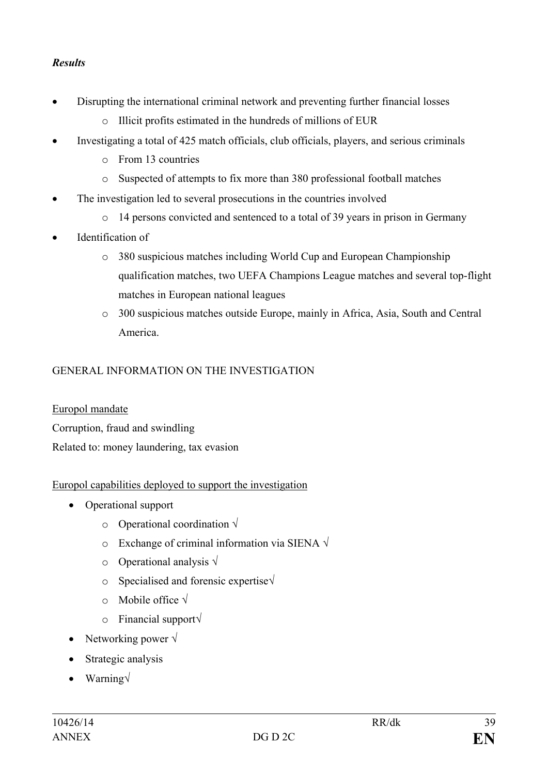## *Results*

- Disrupting the international criminal network and preventing further financial losses
	- o Illicit profits estimated in the hundreds of millions of EUR
- Investigating a total of 425 match officials, club officials, players, and serious criminals
	- o From 13 countries
	- o Suspected of attempts to fix more than 380 professional football matches
- The investigation led to several prosecutions in the countries involved
	- o 14 persons convicted and sentenced to a total of 39 years in prison in Germany
- Identification of
	- o 380 suspicious matches including World Cup and European Championship qualification matches, two UEFA Champions League matches and several top-flight matches in European national leagues
	- o 300 suspicious matches outside Europe, mainly in Africa, Asia, South and Central America.

## GENERAL INFORMATION ON THE INVESTIGATION

Europol mandate Corruption, fraud and swindling Related to: money laundering, tax evasion

### Europol capabilities deployed to support the investigation

- Operational support
	- o Operational coordination **√**
	- o Exchange of criminal information via SIENA **√**
	- o Operational analysis **√**
	- o Specialised and forensic expertise**√**
	- o Mobile office **√**
	- o Financial support**√**
- Networking power **√**
- Strategic analysis
- Warning**√**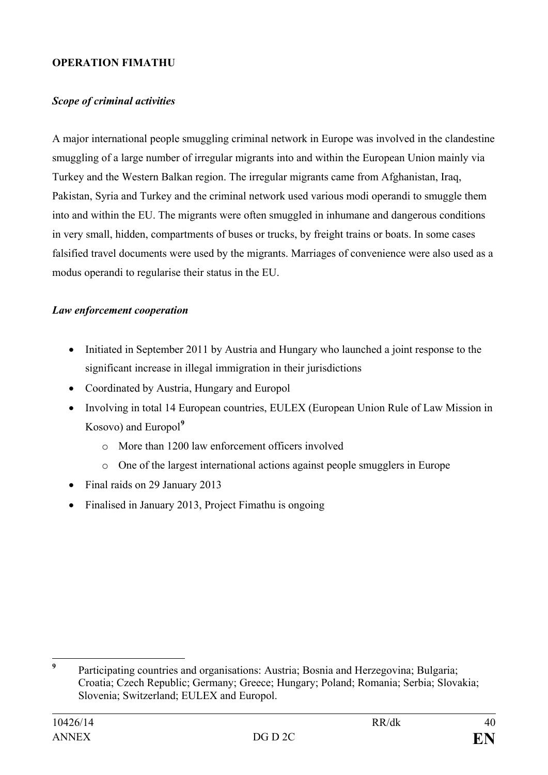### **OPERATION FIMATHU**

### *Scope of criminal activities*

A major international people smuggling criminal network in Europe was involved in the clandestine smuggling of a large number of irregular migrants into and within the European Union mainly via Turkey and the Western Balkan region. The irregular migrants came from Afghanistan, Iraq, Pakistan, Syria and Turkey and the criminal network used various modi operandi to smuggle them into and within the EU. The migrants were often smuggled in inhumane and dangerous conditions in very small, hidden, compartments of buses or trucks, by freight trains or boats. In some cases falsified travel documents were used by the migrants. Marriages of convenience were also used as a modus operandi to regularise their status in the EU.

### *Law enforcement cooperation*

- Initiated in September 2011 by Austria and Hungary who launched a joint response to the significant increase in illegal immigration in their jurisdictions
- Coordinated by Austria, Hungary and Europol
- Involving in total 14 European countries, EULEX (European Union Rule of Law Mission in Kosovo) and Europol**[9](#page-37-0)**
	- o More than 1200 law enforcement officers involved
	- o One of the largest international actions against people smugglers in Europe
- Final raids on 29 January 2013
- Finalised in January 2013, Project Fimathu is ongoing

<span id="page-37-0"></span>**<sup>9</sup>** Participating countries and organisations: Austria; Bosnia and Herzegovina; Bulgaria; Croatia; Czech Republic; Germany; Greece; Hungary; Poland; Romania; Serbia; Slovakia; Slovenia; Switzerland; EULEX and Europol.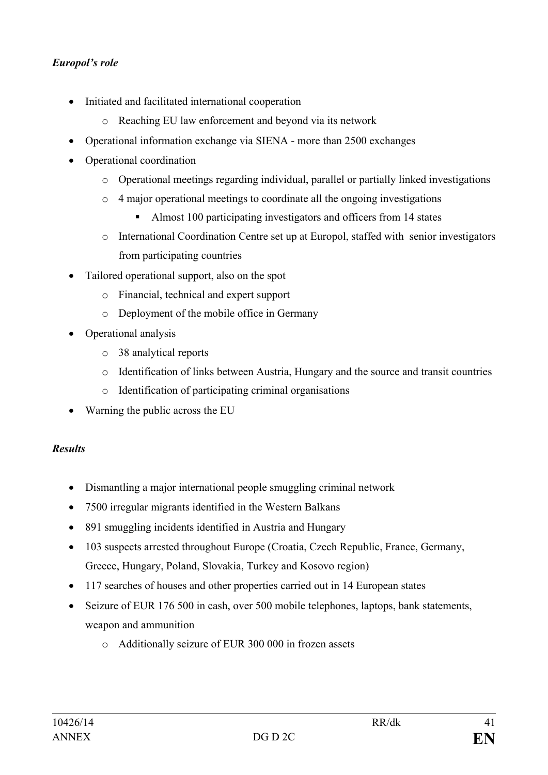## *Europol's role*

- Initiated and facilitated international cooperation
	- o Reaching EU law enforcement and beyond via its network
- Operational information exchange via SIENA more than 2500 exchanges
- Operational coordination
	- o Operational meetings regarding individual, parallel or partially linked investigations
	- o 4 major operational meetings to coordinate all the ongoing investigations
		- Almost 100 participating investigators and officers from 14 states
	- o International Coordination Centre set up at Europol, staffed with senior investigators from participating countries
- Tailored operational support, also on the spot
	- o Financial, technical and expert support
	- o Deployment of the mobile office in Germany
- Operational analysis
	- o 38 analytical reports
	- o Identification of links between Austria, Hungary and the source and transit countries
	- o Identification of participating criminal organisations
- Warning the public across the EU

### *Results*

- Dismantling a major international people smuggling criminal network
- 7500 irregular migrants identified in the Western Balkans
- 891 smuggling incidents identified in Austria and Hungary
- 103 suspects arrested throughout Europe (Croatia, Czech Republic, France, Germany, Greece, Hungary, Poland, Slovakia, Turkey and Kosovo region)
- 117 searches of houses and other properties carried out in 14 European states
- Seizure of EUR 176 500 in cash, over 500 mobile telephones, laptops, bank statements, weapon and ammunition
	- o Additionally seizure of EUR 300 000 in frozen assets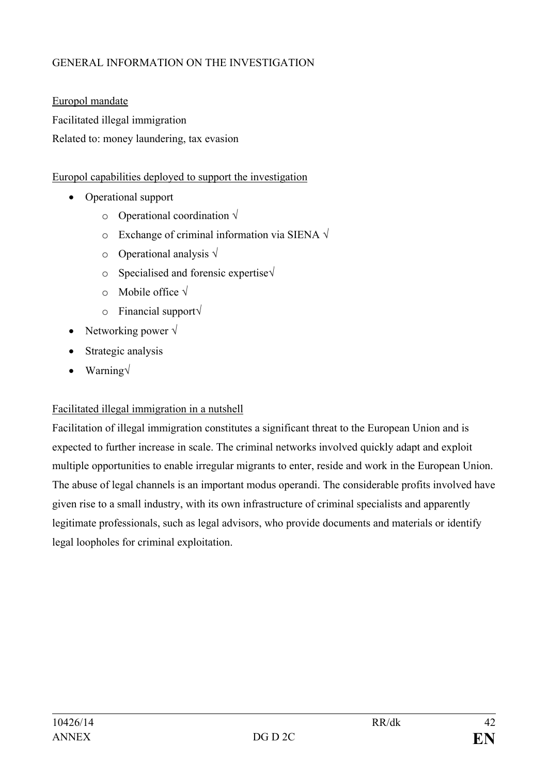## GENERAL INFORMATION ON THE INVESTIGATION

Europol mandate Facilitated illegal immigration Related to: money laundering, tax evasion

### Europol capabilities deployed to support the investigation

- Operational support
	- o Operational coordination **√**
	- o Exchange of criminal information via SIENA **√**
	- o Operational analysis **√**
	- o Specialised and forensic expertise**√**
	- o Mobile office **√**
	- o Financial support**√**
- Networking power **√**
- Strategic analysis
- Warning**√**

## Facilitated illegal immigration in a nutshell

Facilitation of illegal immigration constitutes a significant threat to the European Union and is expected to further increase in scale. The criminal networks involved quickly adapt and exploit multiple opportunities to enable irregular migrants to enter, reside and work in the European Union. The abuse of legal channels is an important modus operandi. The considerable profits involved have given rise to a small industry, with its own infrastructure of criminal specialists and apparently legitimate professionals, such as legal advisors, who provide documents and materials or identify legal loopholes for criminal exploitation.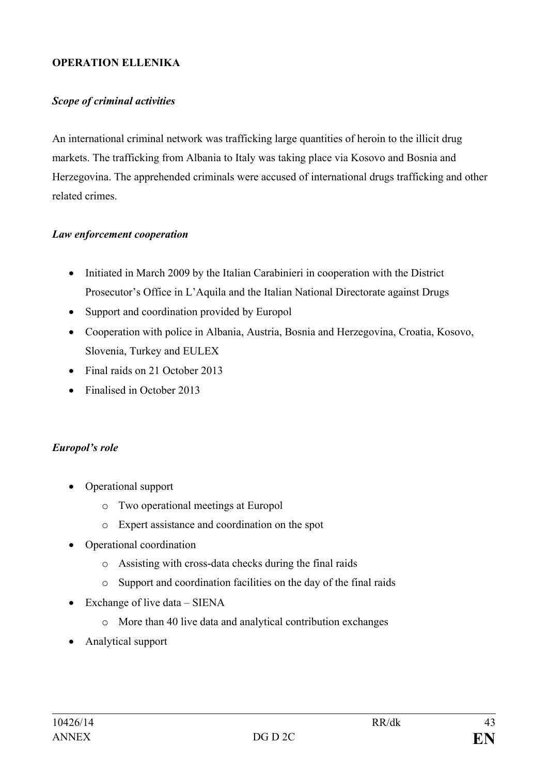### **OPERATION ELLENIKA**

### *Scope of criminal activities*

An international criminal network was trafficking large quantities of heroin to the illicit drug markets. The trafficking from Albania to Italy was taking place via Kosovo and Bosnia and Herzegovina. The apprehended criminals were accused of international drugs trafficking and other related crimes.

#### *Law enforcement cooperation*

- Initiated in March 2009 by the Italian Carabinieri in cooperation with the District Prosecutor's Office in L'Aquila and the Italian National Directorate against Drugs
- Support and coordination provided by Europol
- Cooperation with police in Albania, Austria, Bosnia and Herzegovina, Croatia, Kosovo, Slovenia, Turkey and EULEX
- Final raids on 21 October 2013
- Finalised in October 2013

### *Europol's role*

- Operational support
	- o Two operational meetings at Europol
	- o Expert assistance and coordination on the spot
- Operational coordination
	- o Assisting with cross-data checks during the final raids
	- o Support and coordination facilities on the day of the final raids
- Exchange of live data SIENA
	- o More than 40 live data and analytical contribution exchanges
- Analytical support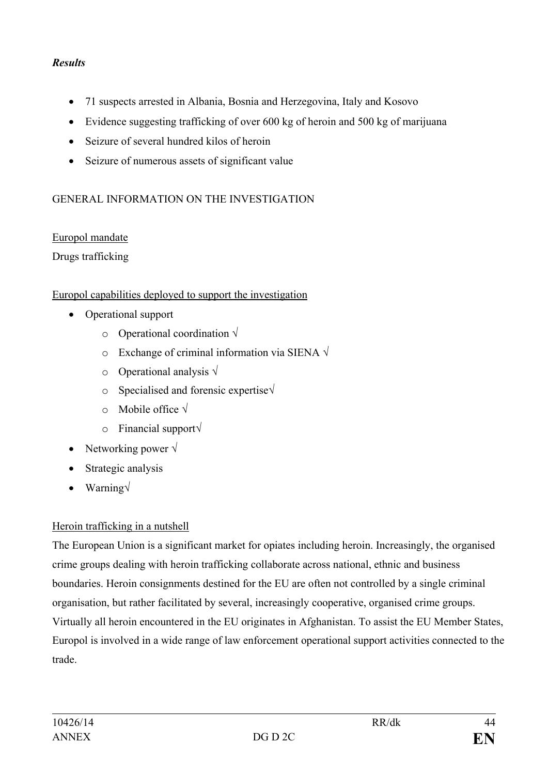## *Results*

- 71 suspects arrested in Albania, Bosnia and Herzegovina, Italy and Kosovo
- Evidence suggesting trafficking of over 600 kg of heroin and 500 kg of marijuana
- Seizure of several hundred kilos of heroin
- Seizure of numerous assets of significant value

## GENERAL INFORMATION ON THE INVESTIGATION

### Europol mandate

Drugs trafficking

### Europol capabilities deployed to support the investigation

- Operational support
	- o Operational coordination **√**
	- o Exchange of criminal information via SIENA **√**
	- o Operational analysis **√**
	- o Specialised and forensic expertise**√**
	- o Mobile office **√**
	- o Financial support**√**
- Networking power **√**
- Strategic analysis
- Warning**√**

## Heroin trafficking in a nutshell

The European Union is a significant market for opiates including heroin. Increasingly, the organised crime groups dealing with heroin trafficking collaborate across national, ethnic and business boundaries. Heroin consignments destined for the EU are often not controlled by a single criminal organisation, but rather facilitated by several, increasingly cooperative, organised crime groups. Virtually all heroin encountered in the EU originates in Afghanistan. To assist the EU Member States, Europol is involved in a wide range of law enforcement operational support activities connected to the trade.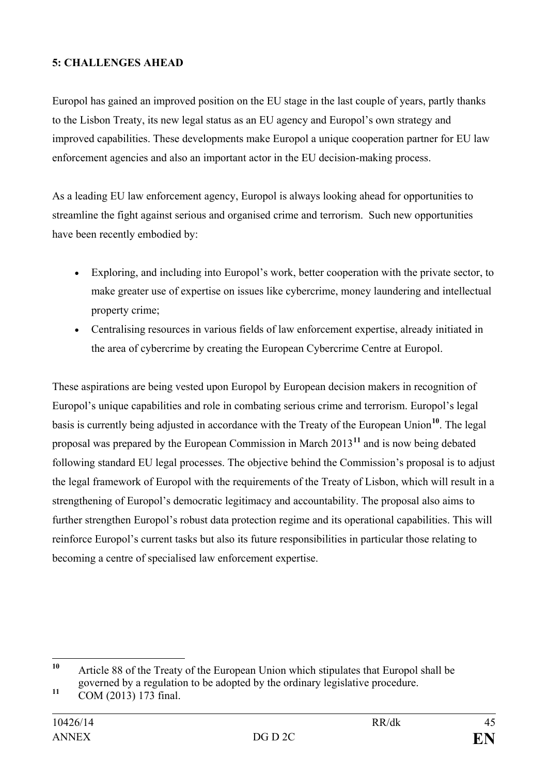## **5: CHALLENGES AHEAD**

Europol has gained an improved position on the EU stage in the last couple of years, partly thanks to the Lisbon Treaty, its new legal status as an EU agency and Europol's own strategy and improved capabilities. These developments make Europol a unique cooperation partner for EU law enforcement agencies and also an important actor in the EU decision-making process.

As a leading EU law enforcement agency, Europol is always looking ahead for opportunities to streamline the fight against serious and organised crime and terrorism. Such new opportunities have been recently embodied by:

- Exploring, and including into Europol's work, better cooperation with the private sector, to make greater use of expertise on issues like cybercrime, money laundering and intellectual property crime;
- Centralising resources in various fields of law enforcement expertise, already initiated in the area of cybercrime by creating the European Cybercrime Centre at Europol.

These aspirations are being vested upon Europol by European decision makers in recognition of Europol's unique capabilities and role in combating serious crime and terrorism. Europol's legal basis is currently being adjusted in accordance with the Treaty of the European Union**[10](#page-42-0)**. The legal proposal was prepared by the European Commission in March 2013**[11](#page-42-1)** and is now being debated following standard EU legal processes. The objective behind the Commission's proposal is to adjust the legal framework of Europol with the requirements of the Treaty of Lisbon, which will result in a strengthening of Europol's democratic legitimacy and accountability. The proposal also aims to further strengthen Europol's robust data protection regime and its operational capabilities. This will reinforce Europol's current tasks but also its future responsibilities in particular those relating to becoming a centre of specialised law enforcement expertise.

<span id="page-42-0"></span>**<sup>10</sup>** Article 88 of the Treaty of the European Union which stipulates that Europol shall be governed by a regulation to be adopted by the ordinary legislative procedure.  $10$ 

<span id="page-42-1"></span>**<sup>11</sup>** COM (2013) 173 final.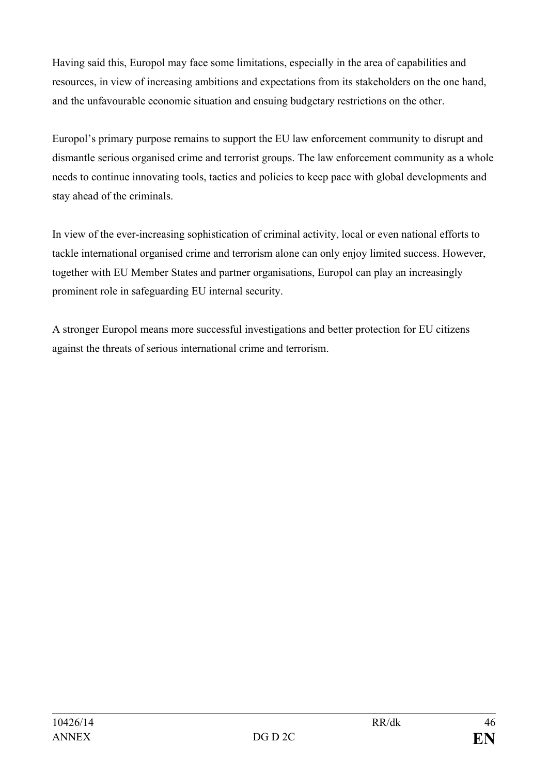Having said this, Europol may face some limitations, especially in the area of capabilities and resources, in view of increasing ambitions and expectations from its stakeholders on the one hand, and the unfavourable economic situation and ensuing budgetary restrictions on the other.

Europol's primary purpose remains to support the EU law enforcement community to disrupt and dismantle serious organised crime and terrorist groups. The law enforcement community as a whole needs to continue innovating tools, tactics and policies to keep pace with global developments and stay ahead of the criminals.

In view of the ever-increasing sophistication of criminal activity, local or even national efforts to tackle international organised crime and terrorism alone can only enjoy limited success. However, together with EU Member States and partner organisations, Europol can play an increasingly prominent role in safeguarding EU internal security.

A stronger Europol means more successful investigations and better protection for EU citizens against the threats of serious international crime and terrorism.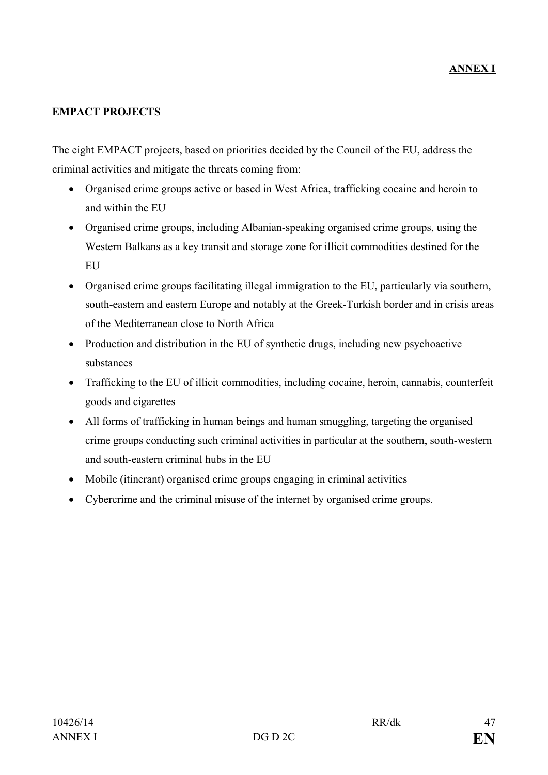### **EMPACT PROJECTS**

The eight EMPACT projects, based on priorities decided by the Council of the EU, address the criminal activities and mitigate the threats coming from:

- Organised crime groups active or based in West Africa, trafficking cocaine and heroin to and within the EU
- Organised crime groups, including Albanian-speaking organised crime groups, using the Western Balkans as a key transit and storage zone for illicit commodities destined for the EU
- Organised crime groups facilitating illegal immigration to the EU, particularly via southern, south-eastern and eastern Europe and notably at the Greek-Turkish border and in crisis areas of the Mediterranean close to North Africa
- Production and distribution in the EU of synthetic drugs, including new psychoactive substances
- Trafficking to the EU of illicit commodities, including cocaine, heroin, cannabis, counterfeit goods and cigarettes
- All forms of trafficking in human beings and human smuggling, targeting the organised crime groups conducting such criminal activities in particular at the southern, south-western and south-eastern criminal hubs in the EU
- Mobile (itinerant) organised crime groups engaging in criminal activities
- Cybercrime and the criminal misuse of the internet by organised crime groups.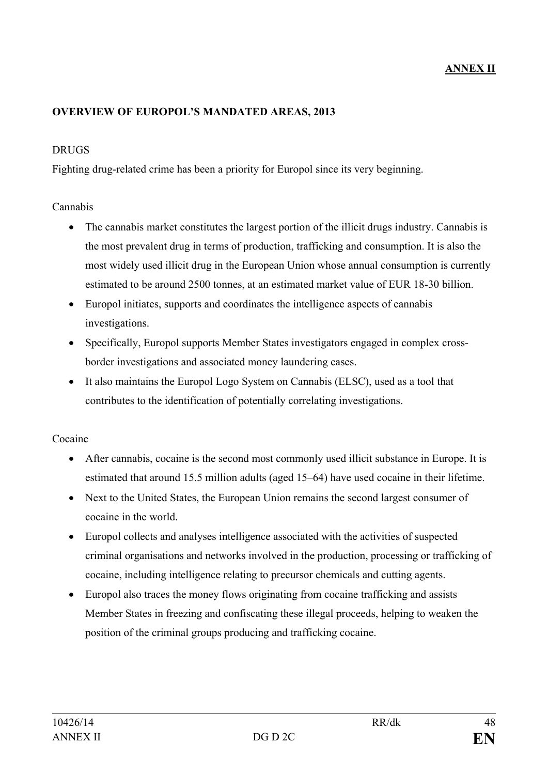#### **OVERVIEW OF EUROPOL'S MANDATED AREAS, 2013**

#### DRUGS

Fighting drug-related crime has been a priority for Europol since its very beginning.

### Cannabis

- The cannabis market constitutes the largest portion of the illicit drugs industry. Cannabis is the most prevalent drug in terms of production, trafficking and consumption. It is also the most widely used illicit drug in the European Union whose annual consumption is currently estimated to be around 2500 tonnes, at an estimated market value of EUR 18-30 billion.
- Europol initiates, supports and coordinates the intelligence aspects of cannabis investigations.
- Specifically, Europol supports Member States investigators engaged in complex crossborder investigations and associated money laundering cases.
- It also maintains the Europol Logo System on Cannabis (ELSC), used as a tool that contributes to the identification of potentially correlating investigations.

#### Cocaine

- After cannabis, cocaine is the second most commonly used illicit substance in Europe. It is estimated that around 15.5 million adults (aged 15–64) have used cocaine in their lifetime.
- Next to the United States, the European Union remains the second largest consumer of cocaine in the world.
- Europol collects and analyses intelligence associated with the activities of suspected criminal organisations and networks involved in the production, processing or trafficking of cocaine, including intelligence relating to precursor chemicals and cutting agents.
- Europol also traces the money flows originating from cocaine trafficking and assists Member States in freezing and confiscating these illegal proceeds, helping to weaken the position of the criminal groups producing and trafficking cocaine.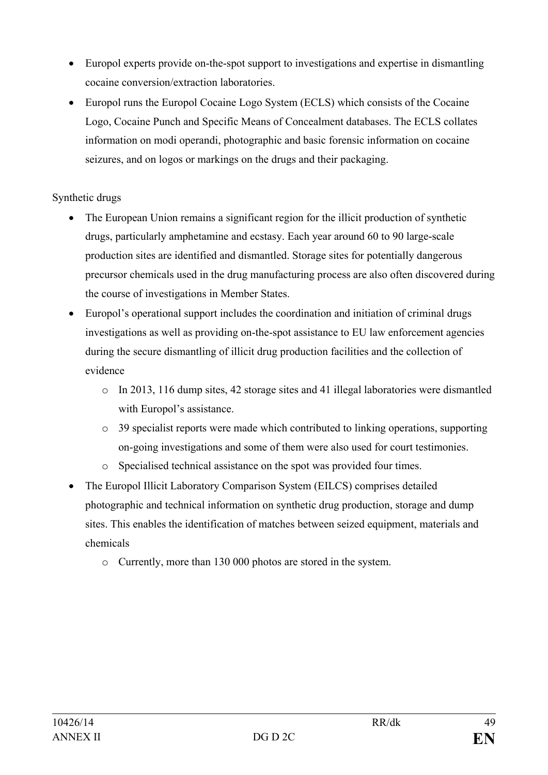- Europol experts provide on-the-spot support to investigations and expertise in dismantling cocaine conversion/extraction laboratories.
- Europol runs the Europol Cocaine Logo System (ECLS) which consists of the Cocaine Logo, Cocaine Punch and Specific Means of Concealment databases. The ECLS collates information on modi operandi, photographic and basic forensic information on cocaine seizures, and on logos or markings on the drugs and their packaging.

## Synthetic drugs

- The European Union remains a significant region for the illicit production of synthetic drugs, particularly amphetamine and ecstasy. Each year around 60 to 90 large-scale production sites are identified and dismantled. Storage sites for potentially dangerous precursor chemicals used in the drug manufacturing process are also often discovered during the course of investigations in Member States.
- Europol's operational support includes the coordination and initiation of criminal drugs investigations as well as providing on-the-spot assistance to EU law enforcement agencies during the secure dismantling of illicit drug production facilities and the collection of evidence
	- o In 2013, 116 dump sites, 42 storage sites and 41 illegal laboratories were dismantled with Europol's assistance.
	- o 39 specialist reports were made which contributed to linking operations, supporting on-going investigations and some of them were also used for court testimonies.
	- o Specialised technical assistance on the spot was provided four times.
- The Europol Illicit Laboratory Comparison System (EILCS) comprises detailed photographic and technical information on synthetic drug production, storage and dump sites. This enables the identification of matches between seized equipment, materials and chemicals
	- o Currently, more than 130 000 photos are stored in the system.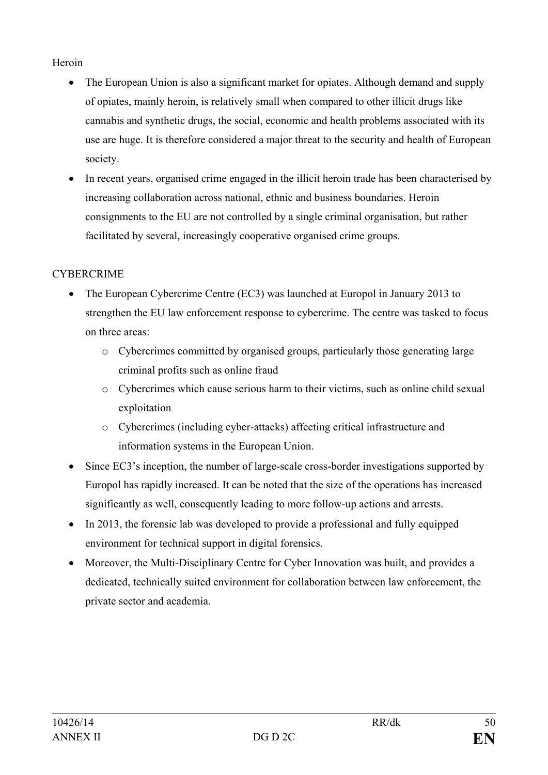## Heroin

- The European Union is also a significant market for opiates. Although demand and supply of opiates, mainly heroin, is relatively small when compared to other illicit drugs like cannabis and synthetic drugs, the social, economic and health problems associated with its use are huge. It is therefore considered a major threat to the security and health of European society.
- In recent years, organised crime engaged in the illicit heroin trade has been characterised by increasing collaboration across national, ethnic and business boundaries. Heroin consignments to the EU are not controlled by a single criminal organisation, but rather facilitated by several, increasingly cooperative organised crime groups.

# **CYBERCRIME**

- The European Cybercrime Centre (EC3) was launched at Europol in January 2013 to strengthen the EU law enforcement response to cybercrime. The centre was tasked to focus on three areas:
	- o Cybercrimes committed by organised groups, particularly those generating large criminal profits such as online fraud
	- o Cybercrimes which cause serious harm to their victims, such as online child sexual exploitation
	- o Cybercrimes (including cyber-attacks) affecting critical infrastructure and information systems in the European Union.
- Since EC3's inception, the number of large-scale cross-border investigations supported by Europol has rapidly increased. It can be noted that the size of the operations has increased significantly as well, consequently leading to more follow-up actions and arrests.
- In 2013, the forensic lab was developed to provide a professional and fully equipped environment for technical support in digital forensics.
- Moreover, the Multi-Disciplinary Centre for Cyber Innovation was built, and provides a dedicated, technically suited environment for collaboration between law enforcement, the private sector and academia.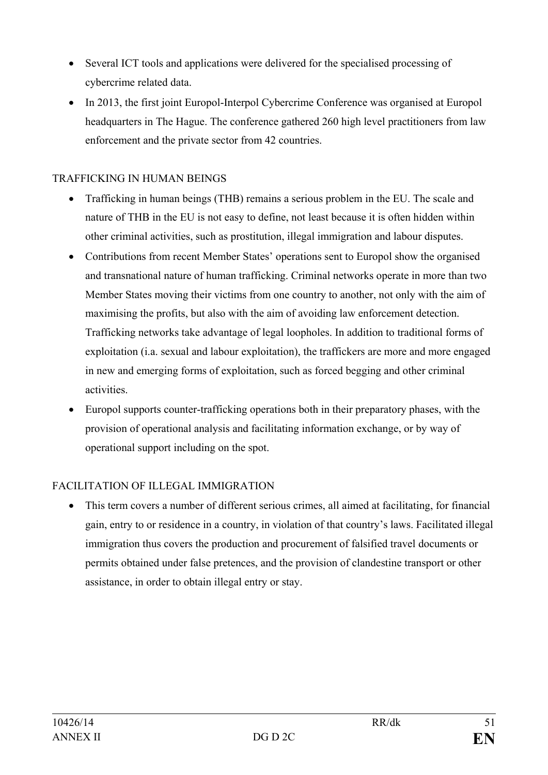- Several ICT tools and applications were delivered for the specialised processing of cybercrime related data.
- In 2013, the first joint Europol-Interpol Cybercrime Conference was organised at Europol headquarters in The Hague. The conference gathered 260 high level practitioners from law enforcement and the private sector from 42 countries.

## TRAFFICKING IN HUMAN BEINGS

- Trafficking in human beings (THB) remains a serious problem in the EU. The scale and nature of THB in the EU is not easy to define, not least because it is often hidden within other criminal activities, such as prostitution, illegal immigration and labour disputes.
- Contributions from recent Member States' operations sent to Europol show the organised and transnational nature of human trafficking. Criminal networks operate in more than two Member States moving their victims from one country to another, not only with the aim of maximising the profits, but also with the aim of avoiding law enforcement detection. Trafficking networks take advantage of legal loopholes. In addition to traditional forms of exploitation (i.a. sexual and labour exploitation), the traffickers are more and more engaged in new and emerging forms of exploitation, such as forced begging and other criminal activities.
- Europol supports counter-trafficking operations both in their preparatory phases, with the provision of operational analysis and facilitating information exchange, or by way of operational support including on the spot.

### FACILITATION OF ILLEGAL IMMIGRATION

• This term covers a number of different serious crimes, all aimed at facilitating, for financial gain, entry to or residence in a country, in violation of that country's laws. Facilitated illegal immigration thus covers the production and procurement of falsified travel documents or permits obtained under false pretences, and the provision of clandestine transport or other assistance, in order to obtain illegal entry or stay.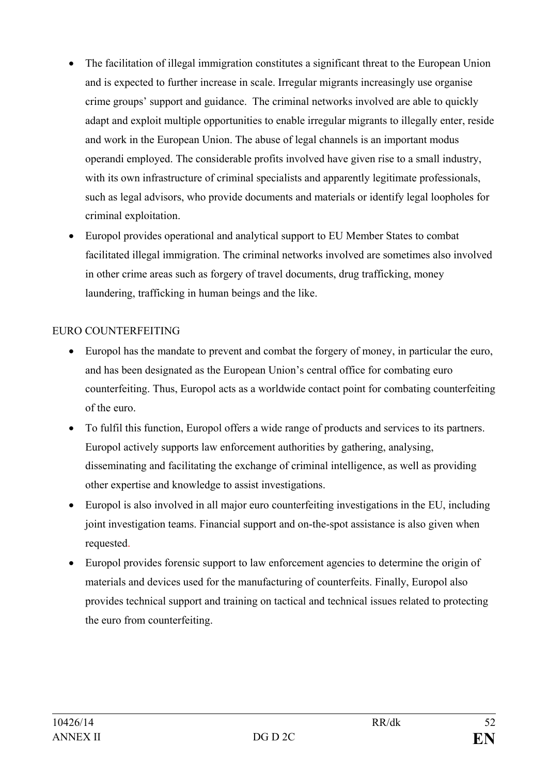- The facilitation of illegal immigration constitutes a significant threat to the European Union and is expected to further increase in scale. Irregular migrants increasingly use organise crime groups' support and guidance. The criminal networks involved are able to quickly adapt and exploit multiple opportunities to enable irregular migrants to illegally enter, reside and work in the European Union. The abuse of legal channels is an important modus operandi employed. The considerable profits involved have given rise to a small industry, with its own infrastructure of criminal specialists and apparently legitimate professionals, such as legal advisors, who provide documents and materials or identify legal loopholes for criminal exploitation.
- Europol provides operational and analytical support to EU Member States to combat facilitated illegal immigration. The criminal networks involved are sometimes also involved in other crime areas such as forgery of travel documents, drug trafficking, money laundering, trafficking in human beings and the like.

## EURO COUNTERFEITING

- Europol has the mandate to prevent and combat the forgery of money, in particular the euro, and has been designated as the European Union's central office for combating euro counterfeiting. Thus, Europol acts as a worldwide contact point for combating counterfeiting of the euro.
- To fulfil this function, Europol offers a wide range of products and services to its partners. Europol actively supports law enforcement authorities by gathering, analysing, disseminating and facilitating the exchange of criminal intelligence, as well as providing other expertise and knowledge to assist investigations.
- Europol is also involved in all major euro counterfeiting investigations in the EU, including joint investigation teams. Financial support and on-the-spot assistance is also given when requested.
- Europol provides forensic support to law enforcement agencies to determine the origin of materials and devices used for the manufacturing of counterfeits. Finally, Europol also provides technical support and training on tactical and technical issues related to protecting the euro from counterfeiting.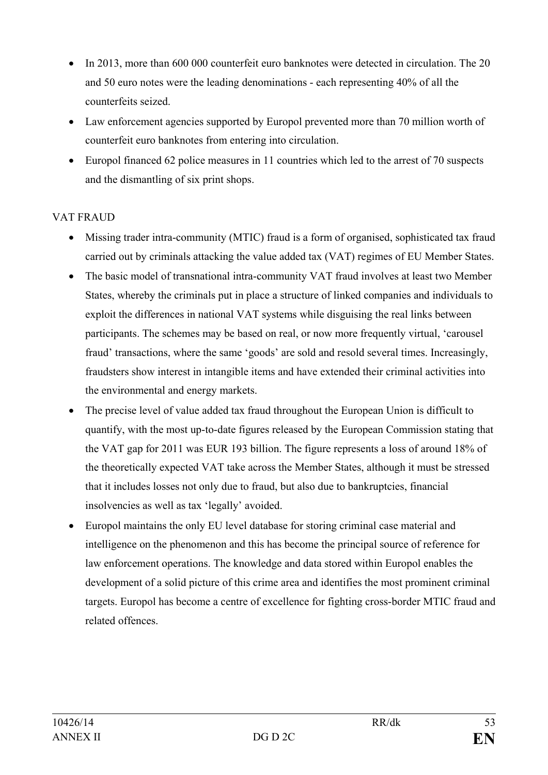- In 2013, more than 600 000 counterfeit euro banknotes were detected in circulation. The 20 and 50 euro notes were the leading denominations - each representing 40% of all the counterfeits seized.
- Law enforcement agencies supported by Europol prevented more than 70 million worth of counterfeit euro banknotes from entering into circulation.
- Europol financed 62 police measures in 11 countries which led to the arrest of 70 suspects and the dismantling of six print shops.

# VAT FRAUD

- Missing trader intra-community (MTIC) fraud is a form of organised, sophisticated tax fraud carried out by criminals attacking the value added tax (VAT) regimes of EU Member States.
- The basic model of transnational intra-community VAT fraud involves at least two Member States, whereby the criminals put in place a structure of linked companies and individuals to exploit the differences in national VAT systems while disguising the real links between participants. The schemes may be based on real, or now more frequently virtual, 'carousel fraud' transactions, where the same 'goods' are sold and resold several times. Increasingly, fraudsters show interest in intangible items and have extended their criminal activities into the environmental and energy markets.
- The precise level of value added tax fraud throughout the European Union is difficult to quantify, with the most up-to-date figures released by the European Commission stating that the VAT gap for 2011 was EUR 193 billion. The figure represents a loss of around 18% of the theoretically expected VAT take across the Member States, although it must be stressed that it includes losses not only due to fraud, but also due to bankruptcies, financial insolvencies as well as tax 'legally' avoided.
- Europol maintains the only EU level database for storing criminal case material and intelligence on the phenomenon and this has become the principal source of reference for law enforcement operations. The knowledge and data stored within Europol enables the development of a solid picture of this crime area and identifies the most prominent criminal targets. Europol has become a centre of excellence for fighting cross-border MTIC fraud and related offences.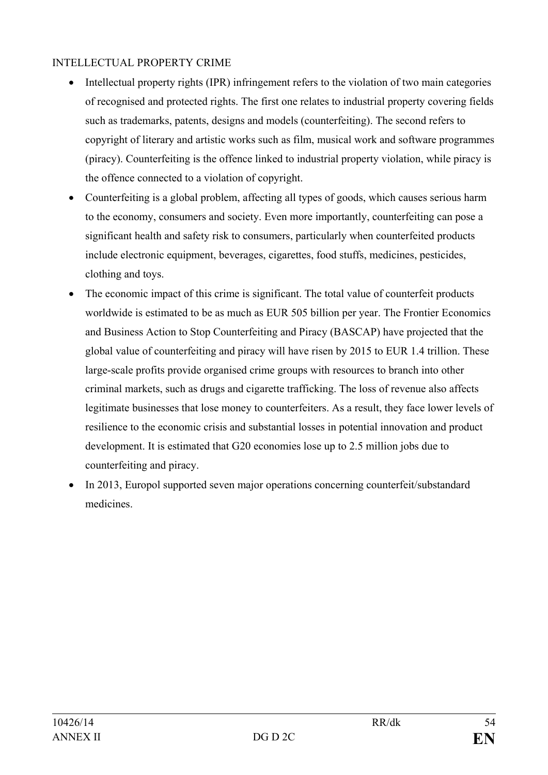## INTELLECTUAL PROPERTY CRIME

- Intellectual property rights (IPR) infringement refers to the violation of two main categories of recognised and protected rights. The first one relates to industrial property covering fields such as trademarks, patents, designs and models (counterfeiting). The second refers to copyright of literary and artistic works such as film, musical work and software programmes (piracy). Counterfeiting is the offence linked to industrial property violation, while piracy is the offence connected to a violation of copyright.
- Counterfeiting is a global problem, affecting all types of goods, which causes serious harm to the economy, consumers and society. Even more importantly, counterfeiting can pose a significant health and safety risk to consumers, particularly when counterfeited products include electronic equipment, beverages, cigarettes, food stuffs, medicines, pesticides, clothing and toys.
- The economic impact of this crime is significant. The total value of counterfeit products worldwide is estimated to be as much as EUR 505 billion per year. The Frontier Economics and Business Action to Stop Counterfeiting and Piracy (BASCAP) have projected that the global value of counterfeiting and piracy will have risen by 2015 to EUR 1.4 trillion. These large-scale profits provide organised crime groups with resources to branch into other criminal markets, such as drugs and cigarette trafficking. The loss of revenue also affects legitimate businesses that lose money to counterfeiters. As a result, they face lower levels of resilience to the economic crisis and substantial losses in potential innovation and product development. It is estimated that G20 economies lose up to 2.5 million jobs due to counterfeiting and piracy.
- In 2013, Europol supported seven major operations concerning counterfeit/substandard medicines.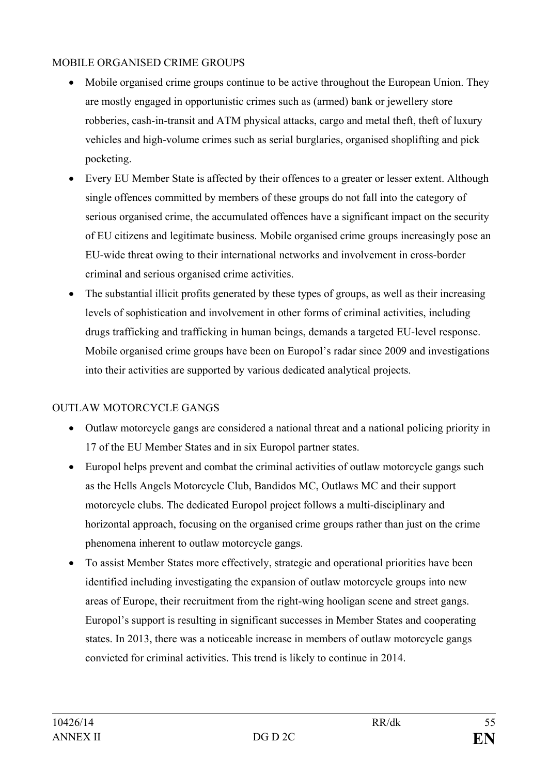## MOBILE ORGANISED CRIME GROUPS

- Mobile organised crime groups continue to be active throughout the European Union. They are mostly engaged in opportunistic crimes such as (armed) bank or jewellery store robberies, cash-in-transit and ATM physical attacks, cargo and metal theft, theft of luxury vehicles and high-volume crimes such as serial burglaries, organised shoplifting and pick pocketing.
- Every EU Member State is affected by their offences to a greater or lesser extent. Although single offences committed by members of these groups do not fall into the category of serious organised crime, the accumulated offences have a significant impact on the security of EU citizens and legitimate business. Mobile organised crime groups increasingly pose an EU-wide threat owing to their international networks and involvement in cross-border criminal and serious organised crime activities.
- The substantial illicit profits generated by these types of groups, as well as their increasing levels of sophistication and involvement in other forms of criminal activities, including drugs trafficking and trafficking in human beings, demands a targeted EU-level response. Mobile organised crime groups have been on Europol's radar since 2009 and investigations into their activities are supported by various dedicated analytical projects.

## OUTLAW MOTORCYCLE GANGS

- Outlaw motorcycle gangs are considered a national threat and a national policing priority in 17 of the EU Member States and in six Europol partner states.
- Europol helps prevent and combat the criminal activities of outlaw motorcycle gangs such as the Hells Angels Motorcycle Club, Bandidos MC, Outlaws MC and their support motorcycle clubs. The dedicated Europol project follows a multi-disciplinary and horizontal approach, focusing on the organised crime groups rather than just on the crime phenomena inherent to outlaw motorcycle gangs.
- To assist Member States more effectively, strategic and operational priorities have been identified including investigating the expansion of outlaw motorcycle groups into new areas of Europe, their recruitment from the right-wing hooligan scene and street gangs. Europol's support is resulting in significant successes in Member States and cooperating states. In 2013, there was a noticeable increase in members of outlaw motorcycle gangs convicted for criminal activities. This trend is likely to continue in 2014.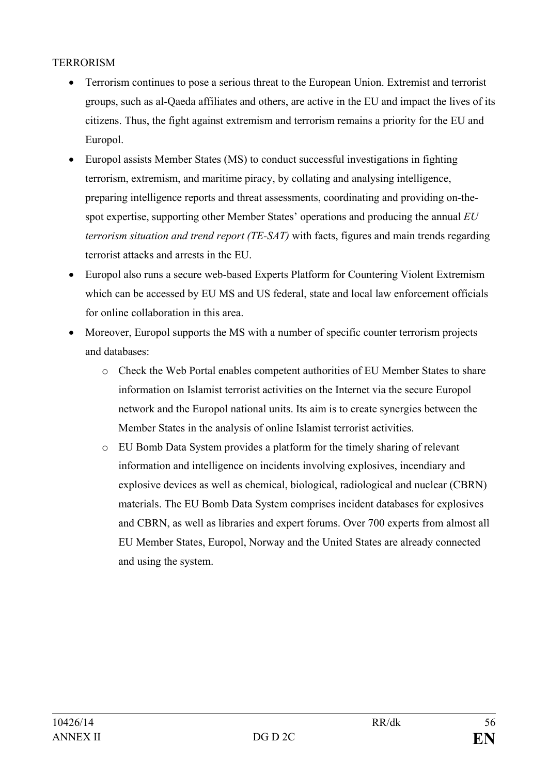### **TERRORISM**

- Terrorism continues to pose a serious threat to the European Union. Extremist and terrorist groups, such as al-Qaeda affiliates and others, are active in the EU and impact the lives of its citizens. Thus, the fight against extremism and terrorism remains a priority for the EU and Europol.
- Europol assists Member States (MS) to conduct successful investigations in fighting terrorism, extremism, and maritime piracy, by collating and analysing intelligence, preparing intelligence reports and threat assessments, coordinating and providing on-thespot expertise, supporting other Member States' operations and producing the annual *EU terrorism situation and trend report (TE-SAT)* with facts, figures and main trends regarding terrorist attacks and arrests in the EU.
- Europol also runs a secure web-based Experts Platform for Countering Violent Extremism which can be accessed by EU MS and US federal, state and local law enforcement officials for online collaboration in this area.
- Moreover, Europol supports the MS with a number of specific counter terrorism projects and databases:
	- o Check the Web Portal enables competent authorities of EU Member States to share information on Islamist terrorist activities on the Internet via the secure Europol network and the Europol national units. Its aim is to create synergies between the Member States in the analysis of online Islamist terrorist activities.
	- o EU Bomb Data System provides a platform for the timely sharing of relevant information and intelligence on incidents involving explosives, incendiary and explosive devices as well as chemical, biological, radiological and nuclear (CBRN) materials. The EU Bomb Data System comprises incident databases for explosives and CBRN, as well as libraries and expert forums. Over 700 experts from almost all EU Member States, Europol, Norway and the United States are already connected and using the system.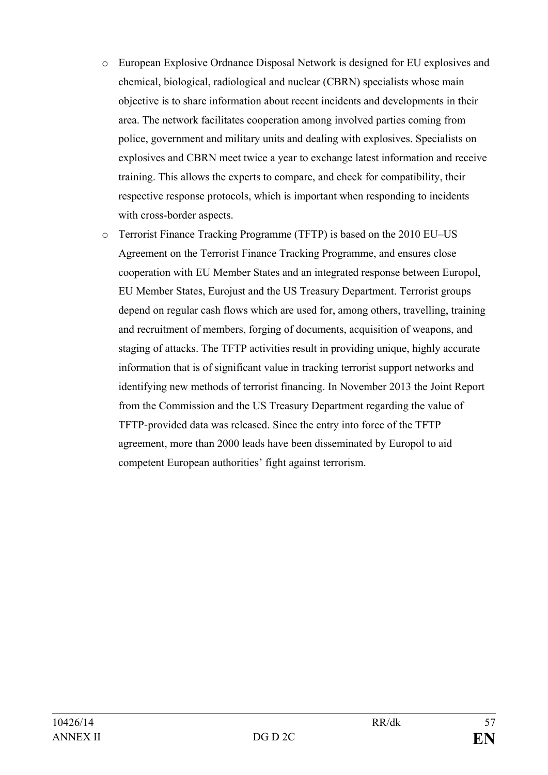- o European Explosive Ordnance Disposal Network is designed for EU explosives and chemical, biological, radiological and nuclear (CBRN) specialists whose main objective is to share information about recent incidents and developments in their area. The network facilitates cooperation among involved parties coming from police, government and military units and dealing with explosives. Specialists on explosives and CBRN meet twice a year to exchange latest information and receive training. This allows the experts to compare, and check for compatibility, their respective response protocols, which is important when responding to incidents with cross-border aspects.
- o Terrorist Finance Tracking Programme (TFTP) is based on the 2010 EU–US Agreement on the Terrorist Finance Tracking Programme, and ensures close cooperation with EU Member States and an integrated response between Europol, EU Member States, Eurojust and the US Treasury Department. Terrorist groups depend on regular cash flows which are used for, among others, travelling, training and recruitment of members, forging of documents, acquisition of weapons, and staging of attacks. The TFTP activities result in providing unique, highly accurate information that is of significant value in tracking terrorist support networks and identifying new methods of terrorist financing. In November 2013 the Joint Report from the Commission and the US Treasury Department regarding the value of TFTP-provided data was released. Since the entry into force of the TFTP agreement, more than 2000 leads have been disseminated by Europol to aid competent European authorities' fight against terrorism.